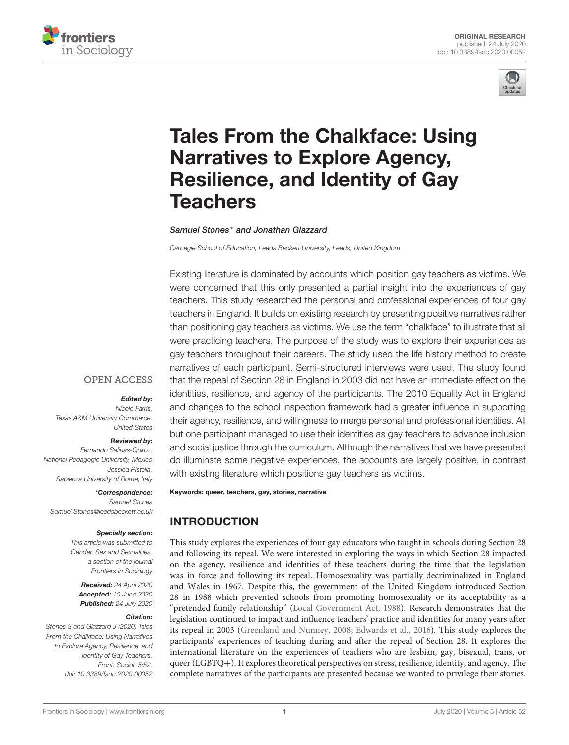



# [Tales From the Chalkface: Using](https://www.frontiersin.org/articles/10.3389/fsoc.2020.00052/full) Narratives to Explore Agency, Resilience, and Identity of Gay **Teachers**

#### [Samuel Stones\\*](http://loop.frontiersin.org/people/698488/overview) and [Jonathan Glazzard](http://loop.frontiersin.org/people/320204/overview)

*Carnegie School of Education, Leeds Beckett University, Leeds, United Kingdom*

Existing literature is dominated by accounts which position gay teachers as victims. We were concerned that this only presented a partial insight into the experiences of gay teachers. This study researched the personal and professional experiences of four gay teachers in England. It builds on existing research by presenting positive narratives rather than positioning gay teachers as victims. We use the term "chalkface" to illustrate that all were practicing teachers. The purpose of the study was to explore their experiences as gay teachers throughout their careers. The study used the life history method to create narratives of each participant. Semi-structured interviews were used. The study found that the repeal of Section 28 in England in 2003 did not have an immediate effect on the identities, resilience, and agency of the participants. The 2010 Equality Act in England and changes to the school inspection framework had a greater influence in supporting their agency, resilience, and willingness to merge personal and professional identities. All but one participant managed to use their identities as gay teachers to advance inclusion and social justice through the curriculum. Although the narratives that we have presented do illuminate some negative experiences, the accounts are largely positive, in contrast with existing literature which positions gay teachers as victims.

Keywords: queer, teachers, gay, stories, narrative

# INTRODUCTION

This study explores the experiences of four gay educators who taught in schools during Section 28 and following its repeal. We were interested in exploring the ways in which Section 28 impacted on the agency, resilience and identities of these teachers during the time that the legislation was in force and following its repeal. Homosexuality was partially decriminalized in England and Wales in 1967. Despite this, the government of the United Kingdom introduced Section 28 in 1988 which prevented schools from promoting homosexuality or its acceptability as a "pretended family relationship" [\(Local Government Act, 1988\)](#page-13-0). Research demonstrates that the legislation continued to impact and influence teachers' practice and identities for many years after its repeal in 2003 [\(Greenland and Nunney, 2008;](#page-12-0) [Edwards et al., 2016\)](#page-12-1). This study explores the participants' experiences of teaching during and after the repeal of Section 28. It explores the international literature on the experiences of teachers who are lesbian, gay, bisexual, trans, or queer (LGBTQ+). It explores theoretical perspectives on stress, resilience, identity, and agency. The complete narratives of the participants are presented because we wanted to privilege their stories.

# **OPEN ACCESS**

#### Edited by:

*Nicole Farris, Texas A&M University Commerce, United States*

#### Reviewed by:

*Fernando Salinas-Quiroz, National Pedagogic University, Mexico Jessica Pistella, Sapienza University of Rome, Italy*

\*Correspondence: *Samuel Stones [Samuel.Stones@leedsbeckett.ac.uk](mailto:Samuel.Stones@leedsbeckett.ac.uk)*

#### Specialty section:

*This article was submitted to Gender, Sex and Sexualities, a section of the journal Frontiers in Sociology*

Received: *24 April 2020* Accepted: *10 June 2020* Published: *24 July 2020*

#### Citation:

*Stones S and Glazzard J (2020) Tales From the Chalkface: Using Narratives to Explore Agency, Resilience, and Identity of Gay Teachers. Front. Sociol. 5:52. doi: [10.3389/fsoc.2020.00052](https://doi.org/10.3389/fsoc.2020.00052)*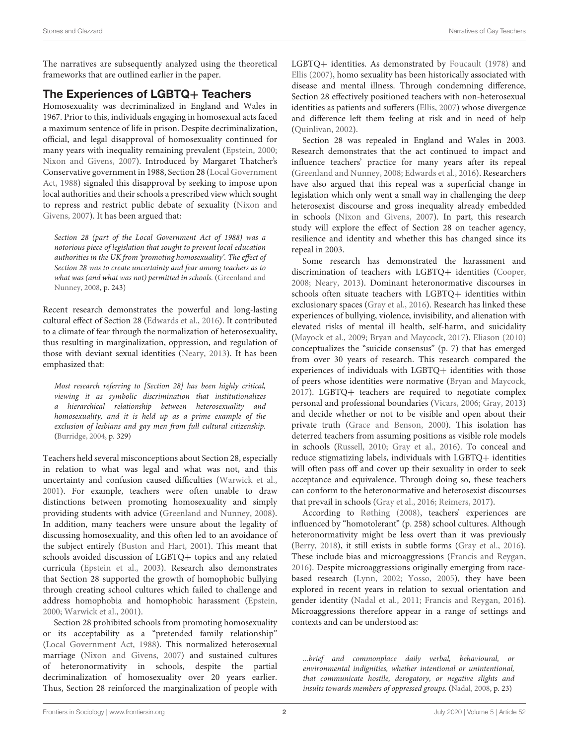The narratives are subsequently analyzed using the theoretical frameworks that are outlined earlier in the paper.

# The Experiences of LGBTQ+ Teachers

Homosexuality was decriminalized in England and Wales in 1967. Prior to this, individuals engaging in homosexual acts faced a maximum sentence of life in prison. Despite decriminalization, official, and legal disapproval of homosexuality continued for many years with inequality remaining prevalent [\(Epstein, 2000;](#page-12-2) [Nixon and Givens, 2007\)](#page-13-1). Introduced by Margaret Thatcher's Conservative government in 1988, Section 28 (Local Government Act, [1988\)](#page-13-0) signaled this disapproval by seeking to impose upon local authorities and their schools a prescribed view which sought to repress and restrict public debate of sexuality (Nixon and Givens, [2007\)](#page-13-1). It has been argued that:

Section 28 (part of the Local Government Act of 1988) was a notorious piece of legislation that sought to prevent local education authorities in the UK from 'promoting homosexuality'. The effect of Section 28 was to create uncertainty and fear among teachers as to what was (and what was not) permitted in schools. (Greenland and Nunney, [2008,](#page-12-0) p. 243)

Recent research demonstrates the powerful and long-lasting cultural effect of Section 28 [\(Edwards et al., 2016\)](#page-12-1). It contributed to a climate of fear through the normalization of heterosexuality, thus resulting in marginalization, oppression, and regulation of those with deviant sexual identities [\(Neary, 2013\)](#page-13-2). It has been emphasized that:

Most research referring to [Section 28] has been highly critical, viewing it as symbolic discrimination that institutionalizes a hierarchical relationship between heterosexuality and homosexuality, and it is held up as a prime example of the exclusion of lesbians and gay men from full cultural citizenship. [\(Burridge, 2004,](#page-12-3) p. 329)

Teachers held several misconceptions about Section 28, especially in relation to what was legal and what was not, and this uncertainty and confusion caused difficulties [\(Warwick et al.,](#page-14-0) [2001\)](#page-14-0). For example, teachers were often unable to draw distinctions between promoting homosexuality and simply providing students with advice [\(Greenland and Nunney, 2008\)](#page-12-0). In addition, many teachers were unsure about the legality of discussing homosexuality, and this often led to an avoidance of the subject entirely [\(Buston and Hart, 2001\)](#page-12-4). This meant that schools avoided discussion of LGBTQ+ topics and any related curricula [\(Epstein et al., 2003\)](#page-12-5). Research also demonstrates that Section 28 supported the growth of homophobic bullying through creating school cultures which failed to challenge and address homophobia and homophobic harassment [\(Epstein,](#page-12-2) [2000;](#page-12-2) [Warwick et al., 2001\)](#page-14-0).

Section 28 prohibited schools from promoting homosexuality or its acceptability as a "pretended family relationship" [\(Local Government Act, 1988\)](#page-13-0). This normalized heterosexual marriage [\(Nixon and Givens, 2007\)](#page-13-1) and sustained cultures of heteronormativity in schools, despite the partial decriminalization of homosexuality over 20 years earlier. Thus, Section 28 reinforced the marginalization of people with LGBTQ+ identities. As demonstrated by [Foucault \(1978\)](#page-12-6) and [Ellis \(2007\)](#page-12-7), homo sexuality has been historically associated with disease and mental illness. Through condemning difference, Section 28 effectively positioned teachers with non-heterosexual identities as patients and sufferers [\(Ellis, 2007\)](#page-12-7) whose divergence and difference left them feeling at risk and in need of help [\(Quinlivan, 2002\)](#page-13-3).

Section 28 was repealed in England and Wales in 2003. Research demonstrates that the act continued to impact and influence teachers' practice for many years after its repeal [\(Greenland and Nunney, 2008;](#page-12-0) [Edwards et al., 2016\)](#page-12-1). Researchers have also argued that this repeal was a superficial change in legislation which only went a small way in challenging the deep heterosexist discourse and gross inequality already embedded in schools [\(Nixon and Givens, 2007\)](#page-13-1). In part, this research study will explore the effect of Section 28 on teacher agency, resilience and identity and whether this has changed since its repeal in 2003.

Some research has demonstrated the harassment and discrimination of teachers with LGBTQ+ identities [\(Cooper,](#page-12-8) [2008;](#page-12-8) [Neary, 2013\)](#page-13-2). Dominant heteronormative discourses in schools often situate teachers with LGBTQ+ identities within exclusionary spaces [\(Gray et al., 2016\)](#page-12-9). Research has linked these experiences of bullying, violence, invisibility, and alienation with elevated risks of mental ill health, self-harm, and suicidality [\(Mayock et al., 2009;](#page-13-4) [Bryan and Maycock, 2017\)](#page-12-10). [Eliason \(2010\)](#page-12-11) conceptualizes the "suicide consensus" (p. 7) that has emerged from over 30 years of research. This research compared the experiences of individuals with LGBTQ+ identities with those of peers whose identities were normative [\(Bryan and Maycock,](#page-12-10) [2017\)](#page-12-10). LGBTQ+ teachers are required to negotiate complex personal and professional boundaries [\(Vicars, 2006;](#page-14-1) [Gray, 2013\)](#page-12-12) and decide whether or not to be visible and open about their private truth [\(Grace and Benson, 2000\)](#page-12-13). This isolation has deterred teachers from assuming positions as visible role models in schools [\(Russell, 2010;](#page-13-5) [Gray et al., 2016\)](#page-12-9). To conceal and reduce stigmatizing labels, individuals with LGBTQ+ identities will often pass off and cover up their sexuality in order to seek acceptance and equivalence. Through doing so, these teachers can conform to the heteronormative and heterosexist discourses that prevail in schools [\(Gray et al., 2016;](#page-12-9) [Reimers, 2017\)](#page-13-6).

According to [Røthing \(2008\)](#page-13-7), teachers' experiences are influenced by "homotolerant" (p. 258) school cultures. Although heteronormativity might be less overt than it was previously [\(Berry, 2018\)](#page-12-14), it still exists in subtle forms [\(Gray et al., 2016\)](#page-12-9). These include bias and microaggressions [\(Francis and Reygan,](#page-12-15) [2016\)](#page-12-15). Despite microaggressions originally emerging from racebased research [\(Lynn, 2002;](#page-13-8) [Yosso, 2005\)](#page-14-2), they have been explored in recent years in relation to sexual orientation and gender identity [\(Nadal et al., 2011;](#page-13-9) [Francis and Reygan, 2016\)](#page-12-15). Microaggressions therefore appear in a range of settings and contexts and can be understood as:

...brief and commonplace daily verbal, behavioural, or environmental indignities, whether intentional or unintentional, that communicate hostile, derogatory, or negative slights and insults towards members of oppressed groups. [\(Nadal, 2008,](#page-13-10) p. 23)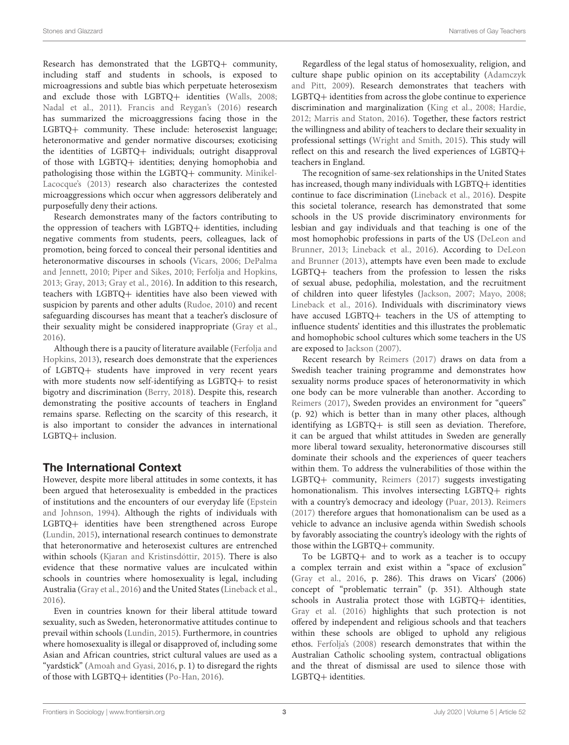Research has demonstrated that the LGBTQ+ community, including staff and students in schools, is exposed to microagressions and subtle bias which perpetuate heterosexism and exclude those with LGBTQ+ identities [\(Walls, 2008;](#page-14-3) [Nadal et al., 2011\)](#page-13-9). [Francis and Reygan's \(2016\)](#page-12-15) research has summarized the microaggressions facing those in the LGBTQ+ community. These include: heterosexist language; heteronormative and gender normative discourses; exoticising the identities of LGBTQ+ individuals; outright disapproval of those with LGBTQ+ identities; denying homophobia and pathologising those within the LGBTQ+ community. Minikel-Lacocque's [\(2013\)](#page-13-11) research also characterizes the contested microaggressions which occur when aggressors deliberately and purposefully deny their actions.

Research demonstrates many of the factors contributing to the oppression of teachers with LGBTQ+ identities, including negative comments from students, peers, colleagues, lack of promotion, being forced to conceal their personal identities and heteronormative discourses in schools [\(Vicars, 2006;](#page-14-1) DePalma and Jennett, [2010;](#page-12-16) [Piper and Sikes, 2010;](#page-13-12) [Ferfolja and Hopkins,](#page-12-17) [2013;](#page-12-17) [Gray, 2013;](#page-12-12) [Gray et al., 2016\)](#page-12-9). In addition to this research, teachers with LGBTQ+ identities have also been viewed with suspicion by parents and other adults [\(Rudoe, 2010\)](#page-13-13) and recent safeguarding discourses has meant that a teacher's disclosure of their sexuality might be considered inappropriate [\(Gray et al.,](#page-12-9) [2016\)](#page-12-9).

Although there is a paucity of literature available (Ferfolja and Hopkins, [2013\)](#page-12-17), research does demonstrate that the experiences of LGBTQ+ students have improved in very recent years with more students now self-identifying as LGBTQ+ to resist bigotry and discrimination [\(Berry, 2018\)](#page-12-14). Despite this, research demonstrating the positive accounts of teachers in England remains sparse. Reflecting on the scarcity of this research, it is also important to consider the advances in international LGBTQ+ inclusion.

# The International Context

However, despite more liberal attitudes in some contexts, it has been argued that heterosexuality is embedded in the practices of institutions and the encounters of our everyday life (Epstein and Johnson, [1994\)](#page-12-18). Although the rights of individuals with LGBTQ+ identities have been strengthened across Europe [\(Lundin, 2015\)](#page-13-14), international research continues to demonstrate that heteronormative and heterosexist cultures are entrenched within schools [\(Kjaran and Kristinsdóttir, 2015\)](#page-13-15). There is also evidence that these normative values are inculcated within schools in countries where homosexuality is legal, including Australia [\(Gray et al., 2016\)](#page-12-9) and the United States [\(Lineback et al.,](#page-13-16) [2016\)](#page-13-16).

Even in countries known for their liberal attitude toward sexuality, such as Sweden, heteronormative attitudes continue to prevail within schools [\(Lundin, 2015\)](#page-13-14). Furthermore, in countries where homosexuality is illegal or disapproved of, including some Asian and African countries, strict cultural values are used as a "yardstick" [\(Amoah and Gyasi, 2016,](#page-12-19) p. 1) to disregard the rights of those with LGBTQ+ identities [\(Po-Han, 2016\)](#page-13-17).

Regardless of the legal status of homosexuality, religion, and culture shape public opinion on its acceptability (Adamczyk and Pitt, [2009\)](#page-12-20). Research demonstrates that teachers with LGBTQ+ identities from across the globe continue to experience discrimination and marginalization [\(King et al., 2008;](#page-13-18) [Hardie,](#page-13-19) [2012;](#page-13-19) [Marris and Staton, 2016\)](#page-13-20). Together, these factors restrict the willingness and ability of teachers to declare their sexuality in professional settings [\(Wright and Smith, 2015\)](#page-14-4). This study will reflect on this and research the lived experiences of LGBTQ+ teachers in England.

The recognition of same-sex relationships in the United States has increased, though many individuals with LGBTQ+ identities continue to face discrimination [\(Lineback et al., 2016\)](#page-13-16). Despite this societal tolerance, research has demonstrated that some schools in the US provide discriminatory environments for lesbian and gay individuals and that teaching is one of the most homophobic professions in parts of the US (DeLeon and Brunner, [2013;](#page-12-21) [Lineback et al., 2016\)](#page-13-16). According to DeLeon and Brunner [\(2013\)](#page-12-21), attempts have even been made to exclude LGBTQ+ teachers from the profession to lessen the risks of sexual abuse, pedophilia, molestation, and the recruitment of children into queer lifestyles [\(Jackson, 2007;](#page-13-21) [Mayo, 2008;](#page-13-22) [Lineback et al., 2016\)](#page-13-16). Individuals with discriminatory views have accused LGBTQ+ teachers in the US of attempting to influence students' identities and this illustrates the problematic and homophobic school cultures which some teachers in the US are exposed to [Jackson \(2007\)](#page-13-21).

Recent research by [Reimers \(2017\)](#page-13-6) draws on data from a Swedish teacher training programme and demonstrates how sexuality norms produce spaces of heteronormativity in which one body can be more vulnerable than another. According to [Reimers \(2017\)](#page-13-6), Sweden provides an environment for "queers" (p. 92) which is better than in many other places, although identifying as LGBTQ+ is still seen as deviation. Therefore, it can be argued that whilst attitudes in Sweden are generally more liberal toward sexuality, heteronormative discourses still dominate their schools and the experiences of queer teachers within them. To address the vulnerabilities of those within the LGBTQ+ community, [Reimers \(2017\)](#page-13-6) suggests investigating homonationalism. This involves intersecting LGBTQ+ rights with a country's democracy and ideology [\(Puar, 2013\)](#page-13-23). [Reimers](#page-13-6) [\(2017\)](#page-13-6) therefore argues that homonationalism can be used as a vehicle to advance an inclusive agenda within Swedish schools by favorably associating the country's ideology with the rights of those within the LGBTQ+ community.

To be LGBTQ+ and to work as a teacher is to occupy a complex terrain and exist within a "space of exclusion" [\(Gray et al., 2016,](#page-12-9) p. 286). This draws on Vicars' (2006) concept of "problematic terrain" (p. 351). Although state schools in Australia protect those with LGBTQ+ identities, [Gray et al. \(2016\)](#page-12-9) highlights that such protection is not offered by independent and religious schools and that teachers within these schools are obliged to uphold any religious ethos. [Ferfolja's \(2008\)](#page-12-22) research demonstrates that within the Australian Catholic schooling system, contractual obligations and the threat of dismissal are used to silence those with LGBTQ+ identities.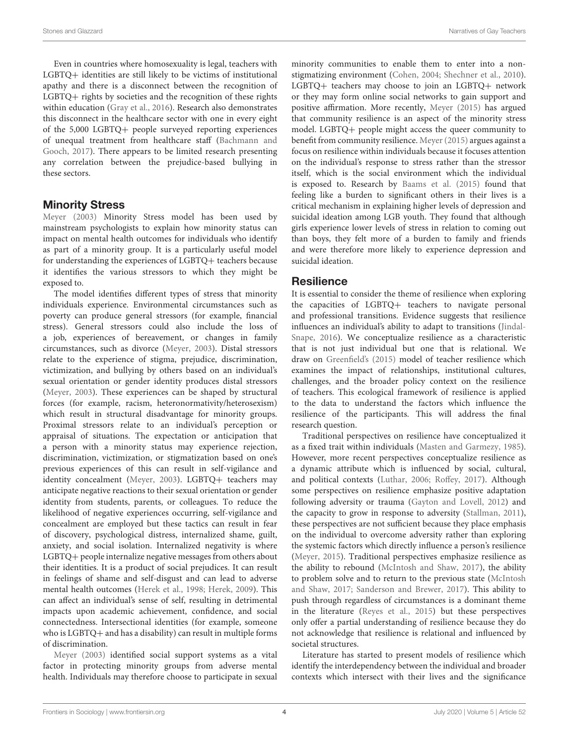Even in countries where homosexuality is legal, teachers with LGBTQ+ identities are still likely to be victims of institutional apathy and there is a disconnect between the recognition of LGBTQ+ rights by societies and the recognition of these rights within education [\(Gray et al., 2016\)](#page-12-9). Research also demonstrates this disconnect in the healthcare sector with one in every eight of the 5,000 LGBTQ+ people surveyed reporting experiences of unequal treatment from healthcare staff (Bachmann and Gooch, [2017\)](#page-12-23). There appears to be limited research presenting any correlation between the prejudice-based bullying in these sectors.

# Minority Stress

[Meyer \(2003\)](#page-13-24) Minority Stress model has been used by mainstream psychologists to explain how minority status can impact on mental health outcomes for individuals who identify as part of a minority group. It is a particularly useful model for understanding the experiences of LGBTQ+ teachers because it identifies the various stressors to which they might be exposed to.

The model identifies different types of stress that minority individuals experience. Environmental circumstances such as poverty can produce general stressors (for example, financial stress). General stressors could also include the loss of a job, experiences of bereavement, or changes in family circumstances, such as divorce [\(Meyer, 2003\)](#page-13-24). Distal stressors relate to the experience of stigma, prejudice, discrimination, victimization, and bullying by others based on an individual's sexual orientation or gender identity produces distal stressors [\(Meyer, 2003\)](#page-13-24). These experiences can be shaped by structural forces (for example, racism, heteronormativity/heterosexism) which result in structural disadvantage for minority groups. Proximal stressors relate to an individual's perception or appraisal of situations. The expectation or anticipation that a person with a minority status may experience rejection, discrimination, victimization, or stigmatization based on one's previous experiences of this can result in self-vigilance and identity concealment [\(Meyer, 2003\)](#page-13-24). LGBTQ+ teachers may anticipate negative reactions to their sexual orientation or gender identity from students, parents, or colleagues. To reduce the likelihood of negative experiences occurring, self-vigilance and concealment are employed but these tactics can result in fear of discovery, psychological distress, internalized shame, guilt, anxiety, and social isolation. Internalized negativity is where LGBTQ+ people internalize negative messages from others about their identities. It is a product of social prejudices. It can result in feelings of shame and self-disgust and can lead to adverse mental health outcomes [\(Herek et al., 1998;](#page-13-25) [Herek, 2009\)](#page-13-26). This can affect an individual's sense of self, resulting in detrimental impacts upon academic achievement, confidence, and social connectedness. Intersectional identities (for example, someone who is LGBTQ+ and has a disability) can result in multiple forms of discrimination.

[Meyer \(2003\)](#page-13-24) identified social support systems as a vital factor in protecting minority groups from adverse mental health. Individuals may therefore choose to participate in sexual minority communities to enable them to enter into a nonstigmatizing environment [\(Cohen, 2004;](#page-12-24) [Shechner et al., 2010\)](#page-13-27). LGBTQ+ teachers may choose to join an LGBTQ+ network or they may form online social networks to gain support and positive affirmation. More recently, [Meyer \(2015\)](#page-13-28) has argued that community resilience is an aspect of the minority stress model. LGBTQ+ people might access the queer community to benefit from community resilience. [Meyer \(2015\)](#page-13-28) argues against a focus on resilience within individuals because it focuses attention on the individual's response to stress rather than the stressor itself, which is the social environment which the individual is exposed to. Research by [Baams et al. \(2015\)](#page-12-25) found that feeling like a burden to significant others in their lives is a critical mechanism in explaining higher levels of depression and suicidal ideation among LGB youth. They found that although girls experience lower levels of stress in relation to coming out than boys, they felt more of a burden to family and friends and were therefore more likely to experience depression and suicidal ideation.

#### **Resilience**

It is essential to consider the theme of resilience when exploring the capacities of LGBTQ+ teachers to navigate personal and professional transitions. Evidence suggests that resilience influences an individual's ability to adapt to transitions (Jindal-Snape, [2016\)](#page-13-29). We conceptualize resilience as a characteristic that is not just individual but one that is relational. We draw on [Greenfield's \(2015\)](#page-12-26) model of teacher resilience which examines the impact of relationships, institutional cultures, challenges, and the broader policy context on the resilience of teachers. This ecological framework of resilience is applied to the data to understand the factors which influence the resilience of the participants. This will address the final research question.

Traditional perspectives on resilience have conceptualized it as a fixed trait within individuals [\(Masten and Garmezy, 1985\)](#page-13-30). However, more recent perspectives conceptualize resilience as a dynamic attribute which is influenced by social, cultural, and political contexts [\(Luthar, 2006;](#page-13-31) [Roffey, 2017\)](#page-13-32). Although some perspectives on resilience emphasize positive adaptation following adversity or trauma [\(Gayton and Lovell, 2012\)](#page-12-27) and the capacity to grow in response to adversity [\(Stallman, 2011\)](#page-14-5), these perspectives are not sufficient because they place emphasis on the individual to overcome adversity rather than exploring the systemic factors which directly influence a person's resilience [\(Meyer, 2015\)](#page-13-28). Traditional perspectives emphasize resilience as the ability to rebound [\(McIntosh and Shaw, 2017\)](#page-13-33), the ability to problem solve and to return to the previous state (McIntosh and Shaw, [2017;](#page-13-33) [Sanderson and Brewer, 2017\)](#page-13-34). This ability to push through regardless of circumstances is a dominant theme in the literature [\(Reyes et al., 2015\)](#page-13-35) but these perspectives only offer a partial understanding of resilience because they do not acknowledge that resilience is relational and influenced by societal structures.

Literature has started to present models of resilience which identify the interdependency between the individual and broader contexts which intersect with their lives and the significance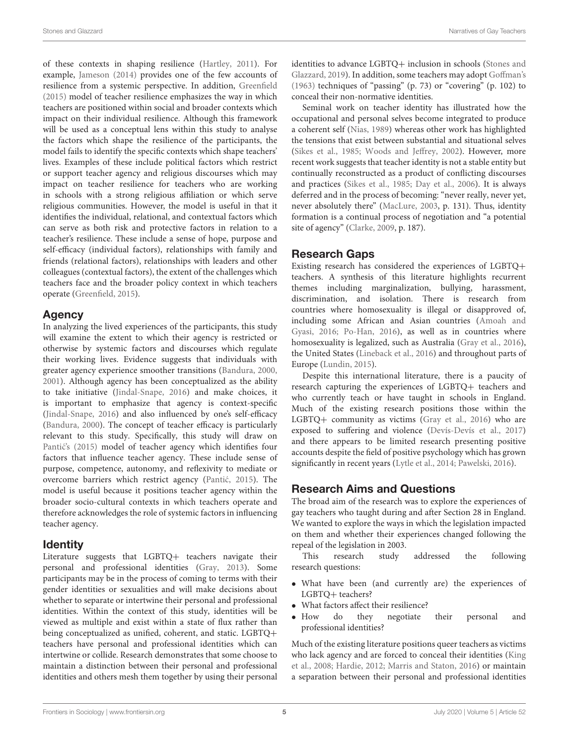of these contexts in shaping resilience [\(Hartley, 2011\)](#page-13-36). For example, [Jameson \(2014\)](#page-13-37) provides one of the few accounts of resilience from a systemic perspective. In addition, [Greenfield](#page-12-26) [\(2015\)](#page-12-26) model of teacher resilience emphasizes the way in which teachers are positioned within social and broader contexts which impact on their individual resilience. Although this framework will be used as a conceptual lens within this study to analyse the factors which shape the resilience of the participants, the model fails to identify the specific contexts which shape teachers' lives. Examples of these include political factors which restrict or support teacher agency and religious discourses which may impact on teacher resilience for teachers who are working in schools with a strong religious affiliation or which serve religious communities. However, the model is useful in that it identifies the individual, relational, and contextual factors which can serve as both risk and protective factors in relation to a teacher's resilience. These include a sense of hope, purpose and self-efficacy (individual factors), relationships with family and friends (relational factors), relationships with leaders and other colleagues (contextual factors), the extent of the challenges which teachers face and the broader policy context in which teachers operate [\(Greenfield, 2015\)](#page-12-26).

# Agency

In analyzing the lived experiences of the participants, this study will examine the extent to which their agency is restricted or otherwise by systemic factors and discourses which regulate their working lives. Evidence suggests that individuals with greater agency experience smoother transitions [\(Bandura, 2000,](#page-12-28) [2001\)](#page-12-29). Although agency has been conceptualized as the ability to take initiative [\(Jindal-Snape, 2016\)](#page-13-29) and make choices, it is important to emphasize that agency is context-specific [\(Jindal-Snape, 2016\)](#page-13-29) and also influenced by one's self-efficacy [\(Bandura, 2000\)](#page-12-28). The concept of teacher efficacy is particularly relevant to this study. Specifically, this study will draw on Pantić's (2015) model of teacher agency which identifies four factors that influence teacher agency. These include sense of purpose, competence, autonomy, and reflexivity to mediate or overcome barriers which restrict agency (Pantić, 2015). The model is useful because it positions teacher agency within the broader socio-cultural contexts in which teachers operate and therefore acknowledges the role of systemic factors in influencing teacher agency.

# Identity

Literature suggests that LGBTQ+ teachers navigate their personal and professional identities [\(Gray, 2013\)](#page-12-12). Some participants may be in the process of coming to terms with their gender identities or sexualities and will make decisions about whether to separate or intertwine their personal and professional identities. Within the context of this study, identities will be viewed as multiple and exist within a state of flux rather than being conceptualized as unified, coherent, and static. LGBTQ+ teachers have personal and professional identities which can intertwine or collide. Research demonstrates that some choose to maintain a distinction between their personal and professional identities and others mesh them together by using their personal identities to advance LGBTQ+ inclusion in schools (Stones and Glazzard, [2019\)](#page-14-6). In addition, some teachers may adopt [Goffman's](#page-12-30) [\(1963\)](#page-12-30) techniques of "passing" (p. 73) or "covering" (p. 102) to conceal their non-normative identities.

Seminal work on teacher identity has illustrated how the occupational and personal selves become integrated to produce a coherent self [\(Nias, 1989\)](#page-13-39) whereas other work has highlighted the tensions that exist between substantial and situational selves [\(Sikes et al., 1985;](#page-14-7) [Woods and Jeffrey, 2002\)](#page-14-8). However, more recent work suggests that teacher identity is not a stable entity but continually reconstructed as a product of conflicting discourses and practices [\(Sikes et al., 1985;](#page-14-7) [Day et al., 2006\)](#page-12-31). It is always deferred and in the process of becoming: "never really, never yet, never absolutely there" [\(MacLure, 2003,](#page-13-40) p. 131). Thus, identity formation is a continual process of negotiation and "a potential site of agency" [\(Clarke, 2009,](#page-12-32) p. 187).

# Research Gaps

Existing research has considered the experiences of LGBTQ+ teachers. A synthesis of this literature highlights recurrent themes including marginalization, bullying, harassment, discrimination, and isolation. There is research from countries where homosexuality is illegal or disapproved of, including some African and Asian countries (Amoah and Gyasi, [2016;](#page-12-19) [Po-Han, 2016\)](#page-13-17), as well as in countries where homosexuality is legalized, such as Australia [\(Gray et al., 2016\)](#page-12-9), the United States [\(Lineback et al., 2016\)](#page-13-16) and throughout parts of Europe [\(Lundin, 2015\)](#page-13-14).

Despite this international literature, there is a paucity of research capturing the experiences of LGBTQ+ teachers and who currently teach or have taught in schools in England. Much of the existing research positions those within the LGBTQ+ community as victims [\(Gray et al., 2016\)](#page-12-9) who are exposed to suffering and violence [\(Devís-Devís et al., 2017\)](#page-12-33) and there appears to be limited research presenting positive accounts despite the field of positive psychology which has grown significantly in recent years [\(Lytle et al., 2014;](#page-13-41) [Pawelski, 2016\)](#page-13-42).

# Research Aims and Questions

The broad aim of the research was to explore the experiences of gay teachers who taught during and after Section 28 in England. We wanted to explore the ways in which the legislation impacted on them and whether their experiences changed following the repeal of the legislation in 2003.

This research study addressed the following research questions:

- What have been (and currently are) the experiences of LGBTQ+ teachers?
- What factors affect their resilience?
- How do they negotiate their personal and professional identities?

Much of the existing literature positions queer teachers as victims who lack agency and are forced to conceal their identities (King et al., [2008;](#page-13-18) [Hardie, 2012;](#page-13-19) [Marris and Staton, 2016\)](#page-13-20) or maintain a separation between their personal and professional identities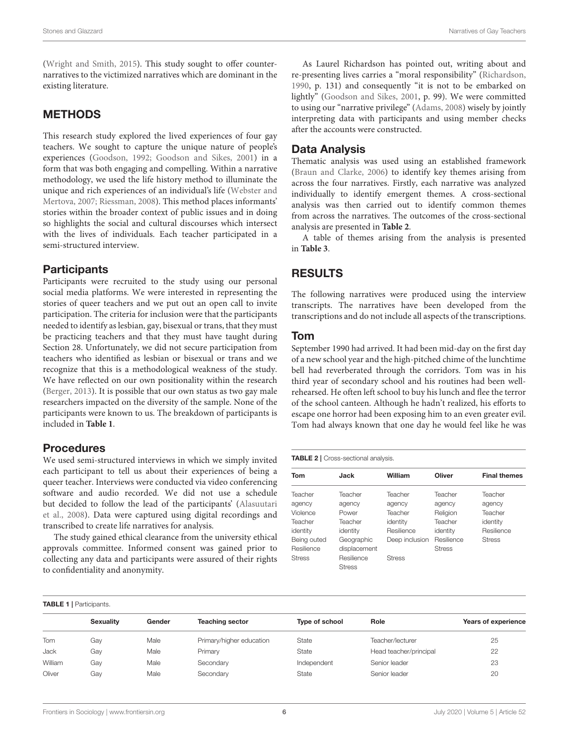[\(Wright and Smith, 2015\)](#page-14-4). This study sought to offer counternarratives to the victimized narratives which are dominant in the existing literature.

### METHODS

This research study explored the lived experiences of four gay teachers. We sought to capture the unique nature of people's experiences [\(Goodson, 1992;](#page-12-34) [Goodson and Sikes, 2001\)](#page-12-35) in a form that was both engaging and compelling. Within a narrative methodology, we used the life history method to illuminate the unique and rich experiences of an individual's life (Webster and Mertova, [2007;](#page-14-9) [Riessman, 2008\)](#page-13-43). This method places informants' stories within the broader context of public issues and in doing so highlights the social and cultural discourses which intersect with the lives of individuals. Each teacher participated in a semi-structured interview.

# **Participants**

Participants were recruited to the study using our personal social media platforms. We were interested in representing the stories of queer teachers and we put out an open call to invite participation. The criteria for inclusion were that the participants needed to identify as lesbian, gay, bisexual or trans, that they must be practicing teachers and that they must have taught during Section 28. Unfortunately, we did not secure participation from teachers who identified as lesbian or bisexual or trans and we recognize that this is a methodological weakness of the study. We have reflected on our own positionality within the research [\(Berger, 2013\)](#page-12-36). It is possible that our own status as two gay male researchers impacted on the diversity of the sample. None of the participants were known to us. The breakdown of participants is included in **[Table 1](#page-5-0)**.

# **Procedures**

<span id="page-5-0"></span>TABLE 1 | Participants

We used semi-structured interviews in which we simply invited each participant to tell us about their experiences of being a queer teacher. Interviews were conducted via video conferencing software and audio recorded. We did not use a schedule but decided to follow the lead of the participants' (Alasuutari et al., [2008\)](#page-12-37). Data were captured using digital recordings and transcribed to create life narratives for analysis.

The study gained ethical clearance from the university ethical approvals committee. Informed consent was gained prior to collecting any data and participants were assured of their rights to confidentiality and anonymity.

As Laurel Richardson has pointed out, writing about and re-presenting lives carries a "moral responsibility" [\(Richardson,](#page-13-44) [1990,](#page-13-44) p. 131) and consequently "it is not to be embarked on lightly" [\(Goodson and Sikes, 2001,](#page-12-35) p. 99). We were committed to using our "narrative privilege" [\(Adams, 2008\)](#page-12-38) wisely by jointly interpreting data with participants and using member checks after the accounts were constructed.

# Data Analysis

Thematic analysis was used using an established framework [\(Braun and Clarke, 2006\)](#page-12-39) to identify key themes arising from across the four narratives. Firstly, each narrative was analyzed individually to identify emergent themes. A cross-sectional analysis was then carried out to identify common themes from across the narratives. The outcomes of the cross-sectional analysis are presented in **[Table 2](#page-5-1)**.

A table of themes arising from the analysis is presented in **[Table 3](#page-6-0)**.

# RESULTS

The following narratives were produced using the interview transcripts. The narratives have been developed from the transcriptions and do not include all aspects of the transcriptions.

#### Tom

September 1990 had arrived. It had been mid-day on the first day of a new school year and the high-pitched chime of the lunchtime bell had reverberated through the corridors. Tom was in his third year of secondary school and his routines had been wellrehearsed. He often left school to buy his lunch and flee the terror of the school canteen. Although he hadn't realized, his efforts to escape one horror had been exposing him to an even greater evil. Tom had always known that one day he would feel like he was

#### <span id="page-5-1"></span>TABLE 2 | Cross-sectional analysis.

| Tom           | Jack                        | William        | Oliver        | <b>Final themes</b> |
|---------------|-----------------------------|----------------|---------------|---------------------|
| Teacher       | Teacher                     | Teacher        | Teacher       | Teacher             |
| agency        | agency                      | agency         | agency        | agency              |
| Violence      | Power                       | Teacher        | Religion      | Teacher             |
| Teacher       | Teacher                     | identity       | Teacher       | identity            |
| identity      | identity                    | Resilience     | identity      | Resilience          |
| Being outed   | Geographic                  | Deep inclusion | Resilience    | <b>Stress</b>       |
| Resilience    | displacement                |                | <b>Stress</b> |                     |
| <b>Stress</b> | Resilience<br><b>Stress</b> | <b>Stress</b>  |               |                     |

| $\cdots$ $\cdots$ $\cdots$ $\cdots$ $\cdots$ |        |                          |                |                        |                            |  |  |  |
|----------------------------------------------|--------|--------------------------|----------------|------------------------|----------------------------|--|--|--|
| <b>Sexuality</b>                             | Gender | <b>Teaching sector</b>   | Type of school | Role                   | <b>Years of experience</b> |  |  |  |
| Gav                                          | Male   | Primary/higher education | State          | Teacher/lecturer       | 25                         |  |  |  |
| Gav                                          | Male   | Primary                  | State          | Head teacher/principal | 22                         |  |  |  |
| Gav                                          | Male   | Secondary                | Independent    | Senior leader          | 23                         |  |  |  |
| Gay                                          | Male   | Secondary                | State          | Senior leader          | 20                         |  |  |  |
|                                              |        |                          |                |                        |                            |  |  |  |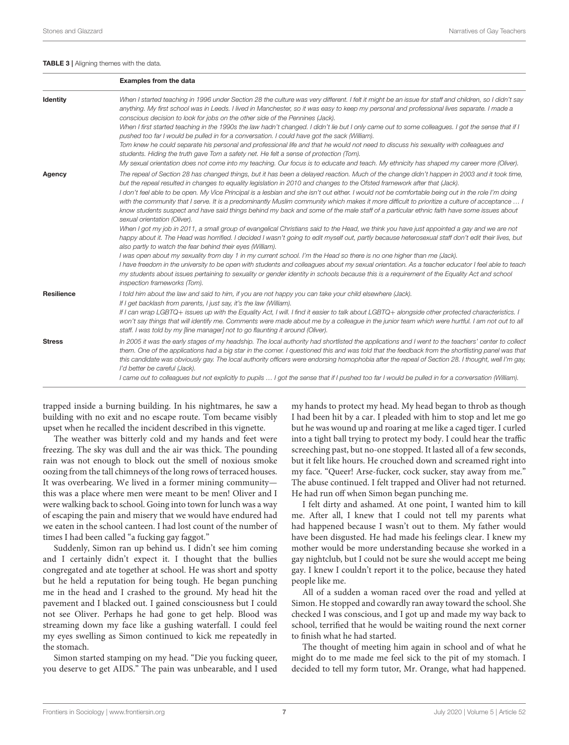#### <span id="page-6-0"></span>TABLE 3 | Aligning themes with the data

|                   | <b>Examples from the data</b>                                                                                                                                                                                                                                                                                                                                                                                                                                                                                                                                                                                                                                                                                                                                                                                                                                                                                                                                                                                                                                                                                                                                                                                                                                                                                                                                                                                                                                                                                                                                                             |
|-------------------|-------------------------------------------------------------------------------------------------------------------------------------------------------------------------------------------------------------------------------------------------------------------------------------------------------------------------------------------------------------------------------------------------------------------------------------------------------------------------------------------------------------------------------------------------------------------------------------------------------------------------------------------------------------------------------------------------------------------------------------------------------------------------------------------------------------------------------------------------------------------------------------------------------------------------------------------------------------------------------------------------------------------------------------------------------------------------------------------------------------------------------------------------------------------------------------------------------------------------------------------------------------------------------------------------------------------------------------------------------------------------------------------------------------------------------------------------------------------------------------------------------------------------------------------------------------------------------------------|
| <b>Identity</b>   | When I started teaching in 1996 under Section 28 the culture was very different. I felt it might be an issue for staff and children, so I didn't say<br>anything. My first school was in Leeds. I lived in Manchester, so it was easy to keep my personal and professional lives separate. I made a<br>conscious decision to look for jobs on the other side of the Pennines (Jack).<br>When I first started teaching in the 1990s the law hadn't changed. I didn't lie but I only came out to some colleagues. I got the sense that if I<br>pushed too far I would be pulled in for a conversation. I could have got the sack (William).<br>Tom knew he could separate his personal and professional life and that he would not need to discuss his sexuality with colleagues and<br>students. Hiding the truth gave Tom a safety net. He felt a sense of protection (Tom).<br>My sexual orientation does not come into my teaching. Our focus is to educate and teach. My ethnicity has shaped my career more (Oliver).                                                                                                                                                                                                                                                                                                                                                                                                                                                                                                                                                                 |
| Agency            | The repeal of Section 28 has changed things, but it has been a delayed reaction. Much of the change didn't happen in 2003 and it took time,<br>but the repeal resulted in changes to equality legislation in 2010 and changes to the Ofsted framework after that (Jack).<br>I don't feel able to be open. My Vice Principal is a lesbian and she isn't out either. I would not be comfortable being out in the role I'm doing<br>with the community that I serve. It is a predominantly Muslim community which makes it more difficult to prioritize a culture of acceptance  I<br>know students suspect and have said things behind my back and some of the male staff of a particular ethnic faith have some issues about<br>sexual orientation (Oliver).<br>When I got my job in 2011, a small group of evangelical Christians said to the Head, we think you have just appointed a gay and we are not<br>happy about it. The Head was horrified. I decided I wasn't going to edit myself out, partly because heterosexual staff don't edit their lives, but<br>also partly to watch the fear behind their eyes (William).<br>I was open about my sexuality from day 1 in my current school. I'm the Head so there is no one higher than me (Jack).<br>I have freedom in the university to be open with students and colleagues about my sexual orientation. As a teacher educator I feel able to teach<br>my students about issues pertaining to sexuality or gender identity in schools because this is a requirement of the Equality Act and school<br>inspection frameworks (Tom). |
| <b>Resilience</b> | I told him about the law and said to him, if you are not happy you can take your child elsewhere (Jack).<br>If I get backlash from parents, I just say, it's the law (William).<br>If I can wrap LGBTQ+ issues up with the Equality Act, I will. I find it easier to talk about LGBTQ+ alongside other protected characteristics. I<br>won't say things that will identify me. Comments were made about me by a colleague in the junior team which were hurtful. I am not out to all<br>staff. I was told by my fline manager] not to go flaunting it around (Oliver).                                                                                                                                                                                                                                                                                                                                                                                                                                                                                                                                                                                                                                                                                                                                                                                                                                                                                                                                                                                                                    |
| <b>Stress</b>     | In 2005 it was the early stages of my headship. The local authority had shortlisted the applications and I went to the teachers' center to collect<br>them. One of the applications had a big star in the corner. I questioned this and was told that the feedback from the shortlisting panel was that<br>this candidate was obviously gay. The local authority officers were endorsing homophobia after the repeal of Section 28. I thought, well I'm gay,<br>I'd better be careful (Jack).<br>I came out to colleagues but not explicitly to pupils  I got the sense that if I pushed too far I would be pulled in for a conversation (William).                                                                                                                                                                                                                                                                                                                                                                                                                                                                                                                                                                                                                                                                                                                                                                                                                                                                                                                                       |

trapped inside a burning building. In his nightmares, he saw a building with no exit and no escape route. Tom became visibly upset when he recalled the incident described in this vignette.

The weather was bitterly cold and my hands and feet were freezing. The sky was dull and the air was thick. The pounding rain was not enough to block out the smell of noxious smoke oozing from the tall chimneys of the long rows of terraced houses. It was overbearing. We lived in a former mining community this was a place where men were meant to be men! Oliver and I were walking back to school. Going into town for lunch was a way of escaping the pain and misery that we would have endured had we eaten in the school canteen. I had lost count of the number of times I had been called "a fucking gay faggot."

Suddenly, Simon ran up behind us. I didn't see him coming and I certainly didn't expect it. I thought that the bullies congregated and ate together at school. He was short and spotty but he held a reputation for being tough. He began punching me in the head and I crashed to the ground. My head hit the pavement and I blacked out. I gained consciousness but I could not see Oliver. Perhaps he had gone to get help. Blood was streaming down my face like a gushing waterfall. I could feel my eyes swelling as Simon continued to kick me repeatedly in the stomach.

Simon started stamping on my head. "Die you fucking queer, you deserve to get AIDS." The pain was unbearable, and I used my hands to protect my head. My head began to throb as though I had been hit by a car. I pleaded with him to stop and let me go but he was wound up and roaring at me like a caged tiger. I curled into a tight ball trying to protect my body. I could hear the traffic screeching past, but no-one stopped. It lasted all of a few seconds, but it felt like hours. He crouched down and screamed right into my face. "Queer! Arse-fucker, cock sucker, stay away from me." The abuse continued. I felt trapped and Oliver had not returned. He had run off when Simon began punching me.

I felt dirty and ashamed. At one point, I wanted him to kill me. After all, I knew that I could not tell my parents what had happened because I wasn't out to them. My father would have been disgusted. He had made his feelings clear. I knew my mother would be more understanding because she worked in a gay nightclub, but I could not be sure she would accept me being gay. I knew I couldn't report it to the police, because they hated people like me.

All of a sudden a woman raced over the road and yelled at Simon. He stopped and cowardly ran away toward the school. She checked I was conscious, and I got up and made my way back to school, terrified that he would be waiting round the next corner to finish what he had started.

The thought of meeting him again in school and of what he might do to me made me feel sick to the pit of my stomach. I decided to tell my form tutor, Mr. Orange, what had happened.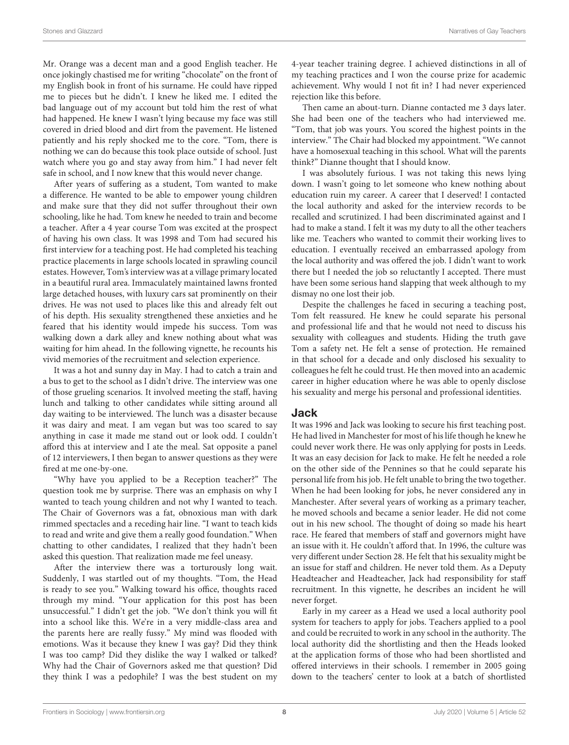Mr. Orange was a decent man and a good English teacher. He once jokingly chastised me for writing "chocolate" on the front of my English book in front of his surname. He could have ripped me to pieces but he didn't. I knew he liked me. I edited the bad language out of my account but told him the rest of what had happened. He knew I wasn't lying because my face was still covered in dried blood and dirt from the pavement. He listened patiently and his reply shocked me to the core. "Tom, there is nothing we can do because this took place outside of school. Just watch where you go and stay away from him." I had never felt safe in school, and I now knew that this would never change.

After years of suffering as a student, Tom wanted to make a difference. He wanted to be able to empower young children and make sure that they did not suffer throughout their own schooling, like he had. Tom knew he needed to train and become a teacher. After a 4 year course Tom was excited at the prospect of having his own class. It was 1998 and Tom had secured his first interview for a teaching post. He had completed his teaching practice placements in large schools located in sprawling council estates. However, Tom's interview was at a village primary located in a beautiful rural area. Immaculately maintained lawns fronted large detached houses, with luxury cars sat prominently on their drives. He was not used to places like this and already felt out of his depth. His sexuality strengthened these anxieties and he feared that his identity would impede his success. Tom was walking down a dark alley and knew nothing about what was waiting for him ahead. In the following vignette, he recounts his vivid memories of the recruitment and selection experience.

It was a hot and sunny day in May. I had to catch a train and a bus to get to the school as I didn't drive. The interview was one of those grueling scenarios. It involved meeting the staff, having lunch and talking to other candidates while sitting around all day waiting to be interviewed. The lunch was a disaster because it was dairy and meat. I am vegan but was too scared to say anything in case it made me stand out or look odd. I couldn't afford this at interview and I ate the meal. Sat opposite a panel of 12 interviewers, I then began to answer questions as they were fired at me one-by-one.

"Why have you applied to be a Reception teacher?" The question took me by surprise. There was an emphasis on why I wanted to teach young children and not why I wanted to teach. The Chair of Governors was a fat, obnoxious man with dark rimmed spectacles and a receding hair line. "I want to teach kids to read and write and give them a really good foundation." When chatting to other candidates, I realized that they hadn't been asked this question. That realization made me feel uneasy.

After the interview there was a torturously long wait. Suddenly, I was startled out of my thoughts. "Tom, the Head is ready to see you." Walking toward his office, thoughts raced through my mind. "Your application for this post has been unsuccessful." I didn't get the job. "We don't think you will fit into a school like this. We're in a very middle-class area and the parents here are really fussy." My mind was flooded with emotions. Was it because they knew I was gay? Did they think I was too camp? Did they dislike the way I walked or talked? Why had the Chair of Governors asked me that question? Did they think I was a pedophile? I was the best student on my 4-year teacher training degree. I achieved distinctions in all of my teaching practices and I won the course prize for academic achievement. Why would I not fit in? I had never experienced rejection like this before.

Then came an about-turn. Dianne contacted me 3 days later. She had been one of the teachers who had interviewed me. "Tom, that job was yours. You scored the highest points in the interview." The Chair had blocked my appointment. "We cannot have a homosexual teaching in this school. What will the parents think?" Dianne thought that I should know.

I was absolutely furious. I was not taking this news lying down. I wasn't going to let someone who knew nothing about education ruin my career. A career that I deserved! I contacted the local authority and asked for the interview records to be recalled and scrutinized. I had been discriminated against and I had to make a stand. I felt it was my duty to all the other teachers like me. Teachers who wanted to commit their working lives to education. I eventually received an embarrassed apology from the local authority and was offered the job. I didn't want to work there but I needed the job so reluctantly I accepted. There must have been some serious hand slapping that week although to my dismay no one lost their job.

Despite the challenges he faced in securing a teaching post, Tom felt reassured. He knew he could separate his personal and professional life and that he would not need to discuss his sexuality with colleagues and students. Hiding the truth gave Tom a safety net. He felt a sense of protection. He remained in that school for a decade and only disclosed his sexuality to colleagues he felt he could trust. He then moved into an academic career in higher education where he was able to openly disclose his sexuality and merge his personal and professional identities.

#### Jack

It was 1996 and Jack was looking to secure his first teaching post. He had lived in Manchester for most of his life though he knew he could never work there. He was only applying for posts in Leeds. It was an easy decision for Jack to make. He felt he needed a role on the other side of the Pennines so that he could separate his personal life from his job. He felt unable to bring the two together. When he had been looking for jobs, he never considered any in Manchester. After several years of working as a primary teacher, he moved schools and became a senior leader. He did not come out in his new school. The thought of doing so made his heart race. He feared that members of staff and governors might have an issue with it. He couldn't afford that. In 1996, the culture was very different under Section 28. He felt that his sexuality might be an issue for staff and children. He never told them. As a Deputy Headteacher and Headteacher, Jack had responsibility for staff recruitment. In this vignette, he describes an incident he will never forget.

Early in my career as a Head we used a local authority pool system for teachers to apply for jobs. Teachers applied to a pool and could be recruited to work in any school in the authority. The local authority did the shortlisting and then the Heads looked at the application forms of those who had been shortlisted and offered interviews in their schools. I remember in 2005 going down to the teachers' center to look at a batch of shortlisted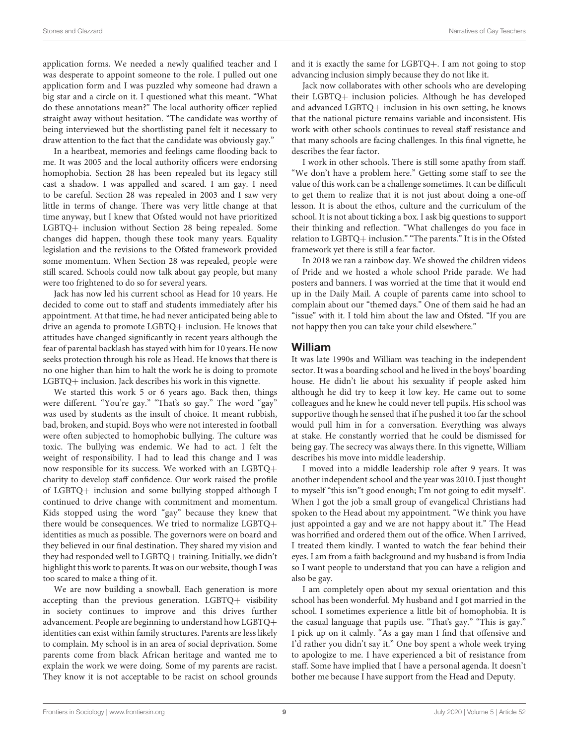application forms. We needed a newly qualified teacher and I was desperate to appoint someone to the role. I pulled out one application form and I was puzzled why someone had drawn a big star and a circle on it. I questioned what this meant. "What do these annotations mean?" The local authority officer replied straight away without hesitation. "The candidate was worthy of being interviewed but the shortlisting panel felt it necessary to draw attention to the fact that the candidate was obviously gay."

In a heartbeat, memories and feelings came flooding back to me. It was 2005 and the local authority officers were endorsing homophobia. Section 28 has been repealed but its legacy still cast a shadow. I was appalled and scared. I am gay. I need to be careful. Section 28 was repealed in 2003 and I saw very little in terms of change. There was very little change at that time anyway, but I knew that Ofsted would not have prioritized LGBTQ+ inclusion without Section 28 being repealed. Some changes did happen, though these took many years. Equality legislation and the revisions to the Ofsted framework provided some momentum. When Section 28 was repealed, people were still scared. Schools could now talk about gay people, but many were too frightened to do so for several years.

Jack has now led his current school as Head for 10 years. He decided to come out to staff and students immediately after his appointment. At that time, he had never anticipated being able to drive an agenda to promote LGBTQ+ inclusion. He knows that attitudes have changed significantly in recent years although the fear of parental backlash has stayed with him for 10 years. He now seeks protection through his role as Head. He knows that there is no one higher than him to halt the work he is doing to promote LGBTQ+ inclusion. Jack describes his work in this vignette.

We started this work 5 or 6 years ago. Back then, things were different. "You're gay." "That's so gay." The word "gay" was used by students as the insult of choice. It meant rubbish, bad, broken, and stupid. Boys who were not interested in football were often subjected to homophobic bullying. The culture was toxic. The bullying was endemic. We had to act. I felt the weight of responsibility. I had to lead this change and I was now responsible for its success. We worked with an LGBTQ+ charity to develop staff confidence. Our work raised the profile of LGBTQ+ inclusion and some bullying stopped although I continued to drive change with commitment and momentum. Kids stopped using the word "gay" because they knew that there would be consequences. We tried to normalize LGBTQ+ identities as much as possible. The governors were on board and they believed in our final destination. They shared my vision and they had responded well to LGBTQ+ training. Initially, we didn't highlight this work to parents. It was on our website, though I was too scared to make a thing of it.

We are now building a snowball. Each generation is more accepting than the previous generation. LGBTQ+ visibility in society continues to improve and this drives further advancement. People are beginning to understand how LGBTQ+ identities can exist within family structures. Parents are less likely to complain. My school is in an area of social deprivation. Some parents come from black African heritage and wanted me to explain the work we were doing. Some of my parents are racist. They know it is not acceptable to be racist on school grounds and it is exactly the same for LGBTQ+. I am not going to stop advancing inclusion simply because they do not like it.

Jack now collaborates with other schools who are developing their LGBTQ+ inclusion policies. Although he has developed and advanced LGBTQ+ inclusion in his own setting, he knows that the national picture remains variable and inconsistent. His work with other schools continues to reveal staff resistance and that many schools are facing challenges. In this final vignette, he describes the fear factor.

I work in other schools. There is still some apathy from staff. "We don't have a problem here." Getting some staff to see the value of this work can be a challenge sometimes. It can be difficult to get them to realize that it is not just about doing a one-off lesson. It is about the ethos, culture and the curriculum of the school. It is not about ticking a box. I ask big questions to support their thinking and reflection. "What challenges do you face in relation to LGBTQ+ inclusion." "The parents." It is in the Ofsted framework yet there is still a fear factor.

In 2018 we ran a rainbow day. We showed the children videos of Pride and we hosted a whole school Pride parade. We had posters and banners. I was worried at the time that it would end up in the Daily Mail. A couple of parents came into school to complain about our "themed days." One of them said he had an "issue" with it. I told him about the law and Ofsted. "If you are not happy then you can take your child elsewhere."

#### William

It was late 1990s and William was teaching in the independent sector. It was a boarding school and he lived in the boys' boarding house. He didn't lie about his sexuality if people asked him although he did try to keep it low key. He came out to some colleagues and he knew he could never tell pupils. His school was supportive though he sensed that if he pushed it too far the school would pull him in for a conversation. Everything was always at stake. He constantly worried that he could be dismissed for being gay. The secrecy was always there. In this vignette, William describes his move into middle leadership.

I moved into a middle leadership role after 9 years. It was another independent school and the year was 2010. I just thought to myself "this isn"t good enough; I'm not going to edit myself'. When I got the job a small group of evangelical Christians had spoken to the Head about my appointment. "We think you have just appointed a gay and we are not happy about it." The Head was horrified and ordered them out of the office. When I arrived, I treated them kindly. I wanted to watch the fear behind their eyes. I am from a faith background and my husband is from India so I want people to understand that you can have a religion and also be gay.

I am completely open about my sexual orientation and this school has been wonderful. My husband and I got married in the school. I sometimes experience a little bit of homophobia. It is the casual language that pupils use. "That's gay." "This is gay." I pick up on it calmly. "As a gay man I find that offensive and I'd rather you didn't say it." One boy spent a whole week trying to apologize to me. I have experienced a bit of resistance from staff. Some have implied that I have a personal agenda. It doesn't bother me because I have support from the Head and Deputy.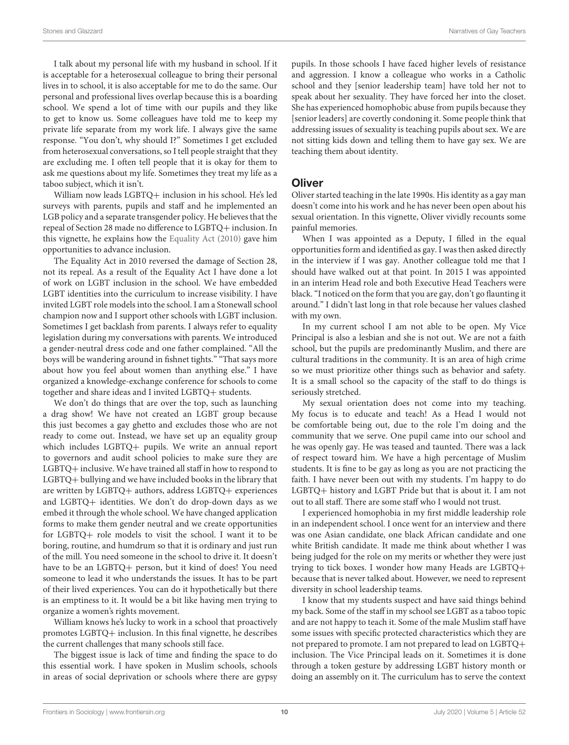I talk about my personal life with my husband in school. If it is acceptable for a heterosexual colleague to bring their personal lives in to school, it is also acceptable for me to do the same. Our personal and professional lives overlap because this is a boarding school. We spend a lot of time with our pupils and they like to get to know us. Some colleagues have told me to keep my private life separate from my work life. I always give the same response. "You don't, why should I?" Sometimes I get excluded from heterosexual conversations, so I tell people straight that they are excluding me. I often tell people that it is okay for them to ask me questions about my life. Sometimes they treat my life as a taboo subject, which it isn't.

William now leads LGBTQ+ inclusion in his school. He's led surveys with parents, pupils and staff and he implemented an LGB policy and a separate transgender policy. He believes that the repeal of Section 28 made no difference to LGBTQ+ inclusion. In this vignette, he explains how the [Equality Act \(2010\)](#page-12-40) gave him opportunities to advance inclusion.

The Equality Act in 2010 reversed the damage of Section 28, not its repeal. As a result of the Equality Act I have done a lot of work on LGBT inclusion in the school. We have embedded LGBT identities into the curriculum to increase visibility. I have invited LGBT role models into the school. I am a Stonewall school champion now and I support other schools with LGBT inclusion. Sometimes I get backlash from parents. I always refer to equality legislation during my conversations with parents. We introduced a gender-neutral dress code and one father complained. "All the boys will be wandering around in fishnet tights." "That says more about how you feel about women than anything else." I have organized a knowledge-exchange conference for schools to come together and share ideas and I invited LGBTQ+ students.

We don't do things that are over the top, such as launching a drag show! We have not created an LGBT group because this just becomes a gay ghetto and excludes those who are not ready to come out. Instead, we have set up an equality group which includes LGBTQ+ pupils. We write an annual report to governors and audit school policies to make sure they are LGBTQ+ inclusive. We have trained all staff in how to respond to LGBTQ+ bullying and we have included books in the library that are written by LGBTQ+ authors, address LGBTQ+ experiences and LGBTQ+ identities. We don't do drop-down days as we embed it through the whole school. We have changed application forms to make them gender neutral and we create opportunities for LGBTQ+ role models to visit the school. I want it to be boring, routine, and humdrum so that it is ordinary and just run of the mill. You need someone in the school to drive it. It doesn't have to be an LGBTQ+ person, but it kind of does! You need someone to lead it who understands the issues. It has to be part of their lived experiences. You can do it hypothetically but there is an emptiness to it. It would be a bit like having men trying to organize a women's rights movement.

William knows he's lucky to work in a school that proactively promotes LGBTQ+ inclusion. In this final vignette, he describes the current challenges that many schools still face.

The biggest issue is lack of time and finding the space to do this essential work. I have spoken in Muslim schools, schools in areas of social deprivation or schools where there are gypsy pupils. In those schools I have faced higher levels of resistance and aggression. I know a colleague who works in a Catholic school and they [senior leadership team] have told her not to speak about her sexuality. They have forced her into the closet. She has experienced homophobic abuse from pupils because they [senior leaders] are covertly condoning it. Some people think that addressing issues of sexuality is teaching pupils about sex. We are not sitting kids down and telling them to have gay sex. We are teaching them about identity.

# **Oliver**

Oliver started teaching in the late 1990s. His identity as a gay man doesn't come into his work and he has never been open about his sexual orientation. In this vignette, Oliver vividly recounts some painful memories.

When I was appointed as a Deputy, I filled in the equal opportunities form and identified as gay. I was then asked directly in the interview if I was gay. Another colleague told me that I should have walked out at that point. In 2015 I was appointed in an interim Head role and both Executive Head Teachers were black. "I noticed on the form that you are gay, don't go flaunting it around." I didn't last long in that role because her values clashed with my own.

In my current school I am not able to be open. My Vice Principal is also a lesbian and she is not out. We are not a faith school, but the pupils are predominantly Muslim, and there are cultural traditions in the community. It is an area of high crime so we must prioritize other things such as behavior and safety. It is a small school so the capacity of the staff to do things is seriously stretched.

My sexual orientation does not come into my teaching. My focus is to educate and teach! As a Head I would not be comfortable being out, due to the role I'm doing and the community that we serve. One pupil came into our school and he was openly gay. He was teased and taunted. There was a lack of respect toward him. We have a high percentage of Muslim students. It is fine to be gay as long as you are not practicing the faith. I have never been out with my students. I'm happy to do LGBTQ+ history and LGBT Pride but that is about it. I am not out to all staff. There are some staff who I would not trust.

I experienced homophobia in my first middle leadership role in an independent school. I once went for an interview and there was one Asian candidate, one black African candidate and one white British candidate. It made me think about whether I was being judged for the role on my merits or whether they were just trying to tick boxes. I wonder how many Heads are LGBTQ+ because that is never talked about. However, we need to represent diversity in school leadership teams.

I know that my students suspect and have said things behind my back. Some of the staff in my school see LGBT as a taboo topic and are not happy to teach it. Some of the male Muslim staff have some issues with specific protected characteristics which they are not prepared to promote. I am not prepared to lead on LGBTQ+ inclusion. The Vice Principal leads on it. Sometimes it is done through a token gesture by addressing LGBT history month or doing an assembly on it. The curriculum has to serve the context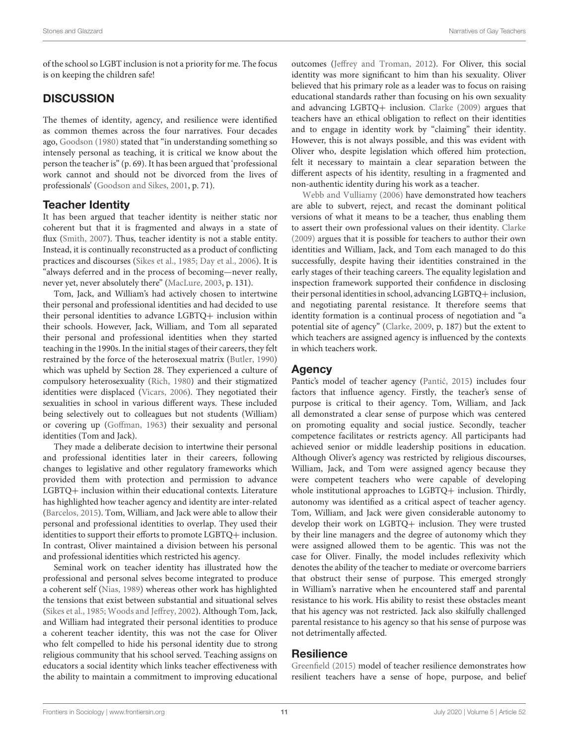of the school so LGBT inclusion is not a priority for me. The focus is on keeping the children safe!

# **DISCUSSION**

The themes of identity, agency, and resilience were identified as common themes across the four narratives. Four decades ago, [Goodson \(1980\)](#page-12-41) stated that "in understanding something so intensely personal as teaching, it is critical we know about the person the teacher is" (p. 69). It has been argued that 'professional work cannot and should not be divorced from the lives of professionals' [\(Goodson and Sikes, 2001,](#page-12-35) p. 71).

# Teacher Identity

It has been argued that teacher identity is neither static nor coherent but that it is fragmented and always in a state of flux [\(Smith, 2007\)](#page-14-10). Thus, teacher identity is not a stable entity. Instead, it is continually reconstructed as a product of conflicting practices and discourses [\(Sikes et al., 1985;](#page-14-7) [Day et al., 2006\)](#page-12-31). It is "always deferred and in the process of becoming—never really, never yet, never absolutely there" [\(MacLure, 2003,](#page-13-40) p. 131).

Tom, Jack, and William's had actively chosen to intertwine their personal and professional identities and had decided to use their personal identities to advance LGBTQ+ inclusion within their schools. However, Jack, William, and Tom all separated their personal and professional identities when they started teaching in the 1990s. In the initial stages of their careers, they felt restrained by the force of the heterosexual matrix [\(Butler, 1990\)](#page-12-42) which was upheld by Section 28. They experienced a culture of compulsory heterosexuality [\(Rich, 1980\)](#page-13-45) and their stigmatized identities were displaced [\(Vicars, 2006\)](#page-14-1). They negotiated their sexualities in school in various different ways. These included being selectively out to colleagues but not students (William) or covering up [\(Goffman, 1963\)](#page-12-30) their sexuality and personal identities (Tom and Jack).

They made a deliberate decision to intertwine their personal and professional identities later in their careers, following changes to legislative and other regulatory frameworks which provided them with protection and permission to advance LGBTQ+ inclusion within their educational contexts. Literature has highlighted how teacher agency and identity are inter-related [\(Barcelos, 2015\)](#page-12-43). Tom, William, and Jack were able to allow their personal and professional identities to overlap. They used their identities to support their efforts to promote LGBTQ+ inclusion. In contrast, Oliver maintained a division between his personal and professional identities which restricted his agency.

Seminal work on teacher identity has illustrated how the professional and personal selves become integrated to produce a coherent self [\(Nias, 1989\)](#page-13-39) whereas other work has highlighted the tensions that exist between substantial and situational selves [\(Sikes et al., 1985;](#page-14-7) [Woods and Jeffrey, 2002\)](#page-14-8). Although Tom, Jack, and William had integrated their personal identities to produce a coherent teacher identity, this was not the case for Oliver who felt compelled to hide his personal identity due to strong religious community that his school served. Teaching assigns on educators a social identity which links teacher effectiveness with the ability to maintain a commitment to improving educational outcomes [\(Jeffrey and Troman, 2012\)](#page-13-46). For Oliver, this social identity was more significant to him than his sexuality. Oliver believed that his primary role as a leader was to focus on raising educational standards rather than focusing on his own sexuality and advancing LGBTQ+ inclusion. [Clarke \(2009\)](#page-12-32) argues that teachers have an ethical obligation to reflect on their identities and to engage in identity work by "claiming" their identity. However, this is not always possible, and this was evident with Oliver who, despite legislation which offered him protection, felt it necessary to maintain a clear separation between the different aspects of his identity, resulting in a fragmented and non-authentic identity during his work as a teacher.

[Webb and Vulliamy \(2006\)](#page-14-11) have demonstrated how teachers are able to subvert, reject, and recast the dominant political versions of what it means to be a teacher, thus enabling them to assert their own professional values on their identity. [Clarke](#page-12-32) [\(2009\)](#page-12-32) argues that it is possible for teachers to author their own identities and William, Jack, and Tom each managed to do this successfully, despite having their identities constrained in the early stages of their teaching careers. The equality legislation and inspection framework supported their confidence in disclosing their personal identities in school, advancing LGBTQ+ inclusion, and negotiating parental resistance. It therefore seems that identity formation is a continual process of negotiation and "a potential site of agency" [\(Clarke, 2009,](#page-12-32) p. 187) but the extent to which teachers are assigned agency is influenced by the contexts in which teachers work.

# **Agency**

Pantic's model of teacher agency (Pantić, 2015) includes four factors that influence agency. Firstly, the teacher's sense of purpose is critical to their agency. Tom, William, and Jack all demonstrated a clear sense of purpose which was centered on promoting equality and social justice. Secondly, teacher competence facilitates or restricts agency. All participants had achieved senior or middle leadership positions in education. Although Oliver's agency was restricted by religious discourses, William, Jack, and Tom were assigned agency because they were competent teachers who were capable of developing whole institutional approaches to LGBTQ+ inclusion. Thirdly, autonomy was identified as a critical aspect of teacher agency. Tom, William, and Jack were given considerable autonomy to develop their work on LGBTQ+ inclusion. They were trusted by their line managers and the degree of autonomy which they were assigned allowed them to be agentic. This was not the case for Oliver. Finally, the model includes reflexivity which denotes the ability of the teacher to mediate or overcome barriers that obstruct their sense of purpose. This emerged strongly in William's narrative when he encountered staff and parental resistance to his work. His ability to resist these obstacles meant that his agency was not restricted. Jack also skilfully challenged parental resistance to his agency so that his sense of purpose was not detrimentally affected.

# **Resilience**

[Greenfield \(2015\)](#page-12-26) model of teacher resilience demonstrates how resilient teachers have a sense of hope, purpose, and belief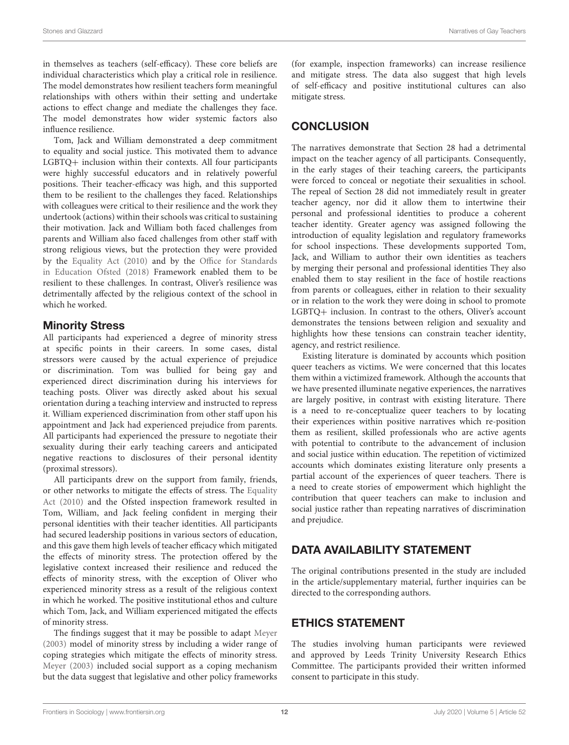in themselves as teachers (self-efficacy). These core beliefs are individual characteristics which play a critical role in resilience. The model demonstrates how resilient teachers form meaningful relationships with others within their setting and undertake actions to effect change and mediate the challenges they face. The model demonstrates how wider systemic factors also influence resilience.

Tom, Jack and William demonstrated a deep commitment to equality and social justice. This motivated them to advance LGBTQ+ inclusion within their contexts. All four participants were highly successful educators and in relatively powerful positions. Their teacher-efficacy was high, and this supported them to be resilient to the challenges they faced. Relationships with colleagues were critical to their resilience and the work they undertook (actions) within their schools was critical to sustaining their motivation. Jack and William both faced challenges from parents and William also faced challenges from other staff with strong religious views, but the protection they were provided by the [Equality Act \(2010\)](#page-12-40) and by the Office for Standards in Education Ofsted [\(2018\)](#page-13-47) Framework enabled them to be resilient to these challenges. In contrast, Oliver's resilience was detrimentally affected by the religious context of the school in which he worked.

# Minority Stress

All participants had experienced a degree of minority stress at specific points in their careers. In some cases, distal stressors were caused by the actual experience of prejudice or discrimination. Tom was bullied for being gay and experienced direct discrimination during his interviews for teaching posts. Oliver was directly asked about his sexual orientation during a teaching interview and instructed to repress it. William experienced discrimination from other staff upon his appointment and Jack had experienced prejudice from parents. All participants had experienced the pressure to negotiate their sexuality during their early teaching careers and anticipated negative reactions to disclosures of their personal identity (proximal stressors).

All participants drew on the support from family, friends, or other networks to mitigate the effects of stress. The Equality Act [\(2010\)](#page-12-40) and the Ofsted inspection framework resulted in Tom, William, and Jack feeling confident in merging their personal identities with their teacher identities. All participants had secured leadership positions in various sectors of education, and this gave them high levels of teacher efficacy which mitigated the effects of minority stress. The protection offered by the legislative context increased their resilience and reduced the effects of minority stress, with the exception of Oliver who experienced minority stress as a result of the religious context in which he worked. The positive institutional ethos and culture which Tom, Jack, and William experienced mitigated the effects of minority stress.

The findings suggest that it may be possible to adapt [Meyer](#page-13-24) [\(2003\)](#page-13-24) model of minority stress by including a wider range of coping strategies which mitigate the effects of minority stress. [Meyer \(2003\)](#page-13-24) included social support as a coping mechanism but the data suggest that legislative and other policy frameworks (for example, inspection frameworks) can increase resilience and mitigate stress. The data also suggest that high levels of self-efficacy and positive institutional cultures can also mitigate stress.

# **CONCLUSION**

The narratives demonstrate that Section 28 had a detrimental impact on the teacher agency of all participants. Consequently, in the early stages of their teaching careers, the participants were forced to conceal or negotiate their sexualities in school. The repeal of Section 28 did not immediately result in greater teacher agency, nor did it allow them to intertwine their personal and professional identities to produce a coherent teacher identity. Greater agency was assigned following the introduction of equality legislation and regulatory frameworks for school inspections. These developments supported Tom, Jack, and William to author their own identities as teachers by merging their personal and professional identities They also enabled them to stay resilient in the face of hostile reactions from parents or colleagues, either in relation to their sexuality or in relation to the work they were doing in school to promote LGBTQ+ inclusion. In contrast to the others, Oliver's account demonstrates the tensions between religion and sexuality and highlights how these tensions can constrain teacher identity, agency, and restrict resilience.

Existing literature is dominated by accounts which position queer teachers as victims. We were concerned that this locates them within a victimized framework. Although the accounts that we have presented illuminate negative experiences, the narratives are largely positive, in contrast with existing literature. There is a need to re-conceptualize queer teachers to by locating their experiences within positive narratives which re-position them as resilient, skilled professionals who are active agents with potential to contribute to the advancement of inclusion and social justice within education. The repetition of victimized accounts which dominates existing literature only presents a partial account of the experiences of queer teachers. There is a need to create stories of empowerment which highlight the contribution that queer teachers can make to inclusion and social justice rather than repeating narratives of discrimination and prejudice.

# DATA AVAILABILITY STATEMENT

The original contributions presented in the study are included in the article/supplementary material, further inquiries can be directed to the corresponding authors.

# ETHICS STATEMENT

The studies involving human participants were reviewed and approved by Leeds Trinity University Research Ethics Committee. The participants provided their written informed consent to participate in this study.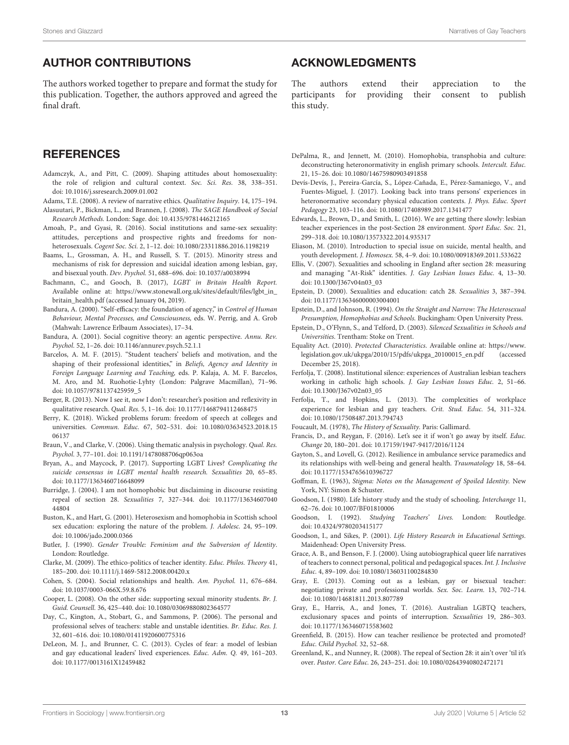# AUTHOR CONTRIBUTIONS

The authors worked together to prepare and format the study for this publication. Together, the authors approved and agreed the final draft.

# **REFERENCES**

- <span id="page-12-20"></span>Adamczyk, A., and Pitt, C. (2009). Shaping attitudes about homosexuality: the role of religion and cultural context. Soc. Sci. Res. 38, 338–351. doi: [10.1016/j.ssresearch.2009.01.002](https://doi.org/10.1016/j.ssresearch.2009.01.002)
- <span id="page-12-38"></span>Adams, T.E. (2008). A review of narrative ethics. Qualitative Inquiry. 14, 175–194. Alasuutari, P., Bickman, L., and Brannen, J. (2008). The SAGE Handbook of Social
- <span id="page-12-37"></span>Research Methods. London: Sage. doi: [10.4135/9781446212165](https://doi.org/10.4135/9781446212165)
- <span id="page-12-19"></span>Amoah, P., and Gyasi, R. (2016). Social institutions and same-sex sexuality: attitudes, perceptions and prospective rights and freedoms for nonheterosexuals. Cogent Soc. Sci. 2, 1–12. doi: [10.1080/23311886.2016.1198219](https://doi.org/10.1080/23311886.2016.1198219)
- <span id="page-12-25"></span>Baams, L., Grossman, A. H., and Russell, S. T. (2015). Minority stress and mechanisms of risk for depression and suicidal ideation among lesbian, gay, and bisexual youth. Dev. Psychol. 51, 688–696. doi: [10.1037/a0038994](https://doi.org/10.1037/a0038994)
- <span id="page-12-23"></span>Bachmann, C., and Gooch, B. (2017), LGBT in Britain Health Report. Available online at: [https://www.stonewall.org.uk/sites/default/files/lgbt\\_in\\_](https://www.stonewall.org.uk/sites/default/files/lgbt_in_britain_health.pdf) [britain\\_health.pdf](https://www.stonewall.org.uk/sites/default/files/lgbt_in_britain_health.pdf) (accessed January 04, 2019).
- <span id="page-12-28"></span>Bandura, A. (2000). "Self-efficacy: the foundation of agency," in Control of Human Behaviour, Mental Processes, and Consciousness, eds. W. Perrig, and A. Grob (Mahwah: Lawrence Erlbaum Associates), 17–34.
- <span id="page-12-29"></span>Bandura, A. (2001). Social cognitive theory: an agentic perspective. Annu. Rev. Psychol. 52, 1–26. doi: [10.1146/annurev.psych.52.1.1](https://doi.org/10.1146/annurev.psych.52.1.1)
- <span id="page-12-43"></span>Barcelos, A. M. F. (2015). "Student teachers' beliefs and motivation, and the shaping of their professional identities," in Beliefs, Agency and Identity in Foreign Language Learning and Teaching, eds. P. Kalaja, A. M. F. Barcelos, M. Aro, and M. Ruohotie-Lyhty (London: Palgrave Macmillan), 71–96. doi: [10.1057/9781137425959\\_5](https://doi.org/10.1057/9781137425959_5)
- <span id="page-12-36"></span>Berger, R. (2013). Now I see it, now I don't: researcher's position and reflexivity in qualitative research. Qual. Res. 5, 1–16. doi: [10.1177/1468794112468475](https://doi.org/10.1177/1468794112468475)
- <span id="page-12-14"></span>Berry, K. (2018). Wicked problems forum: freedom of speech at colleges and universities. Commun. Educ. [67, 502–531. doi: 10.1080/03634523.2018.15](https://doi.org/10.1080/03634523.2018.1506137) 06137
- <span id="page-12-39"></span>Braun, V., and Clarke, V. (2006). Using thematic analysis in psychology. Qual. Res. Psychol. 3, 77–101. doi: [10.1191/1478088706qp063oa](https://doi.org/10.1191/1478088706qp063oa)
- <span id="page-12-10"></span>Bryan, A., and Maycock, P. (2017). Supporting LGBT Lives? Complicating the suicide consensus in LGBT mental health research. Sexualities 20, 65–85. doi: [10.1177/1363460716648099](https://doi.org/10.1177/1363460716648099)
- <span id="page-12-3"></span>Burridge, J. (2004). I am not homophobic but disclaiming in discourse resisting repeal of section 28. Sexualities [7, 327–344. doi: 10.1177/13634607040](https://doi.org/10.1177/1363460704044804) 44804
- <span id="page-12-4"></span>Buston, K., and Hart, G. (2001). Heterosexism and homophobia in Scottish school sex education: exploring the nature of the problem. J. Adolesc. 24, 95–109. doi: [10.1006/jado.2000.0366](https://doi.org/10.1006/jado.2000.0366)
- <span id="page-12-42"></span>Butler, J. (1990). Gender Trouble: Feminism and the Subversion of Identity. London: Routledge.
- <span id="page-12-32"></span>Clarke, M. (2009). The ethico-politics of teacher identity. Educ. Philos. Theory 41, 185–200. doi: [10.1111/j.1469-5812.2008.00420.x](https://doi.org/10.1111/j.1469-5812.2008.00420.x)
- <span id="page-12-24"></span>Cohen, S. (2004). Social relationships and health. Am. Psychol. 11, 676–684. doi: [10.1037/0003-066X.59.8.676](https://doi.org/10.1037/0003-066X.59.8.676)
- <span id="page-12-8"></span>Cooper, L. (2008). On the other side: supporting sexual minority students. Br. J. Guid. Counsell. 36, 425–440. doi: [10.1080/03069880802364577](https://doi.org/10.1080/03069880802364577)
- <span id="page-12-31"></span>Day, C., Kington, A., Stobart, G., and Sammons, P. (2006). The personal and professional selves of teachers: stable and unstable identities. Br. Educ. Res. J. 32, 601–616. doi: [10.1080/01411920600775316](https://doi.org/10.1080/01411920600775316)
- <span id="page-12-21"></span>DeLeon, M. J., and Brunner, C. C. (2013). Cycles of fear: a model of lesbian and gay educational leaders' lived experiences. Educ. Adm. Q. 49, 161–203. doi: [10.1177/0013161X12459482](https://doi.org/10.1177/0013161X12459482)

# ACKNOWLEDGMENTS

The authors extend their appreciation to the participants for providing their consent to publish this study.

- <span id="page-12-16"></span>DePalma, R., and Jennett, M. (2010). Homophobia, transphobia and culture: deconstructing heteronormativity in english primary schools. Intercult. Educ. 21, 15–26. doi: [10.1080/14675980903491858](https://doi.org/10.1080/14675980903491858)
- <span id="page-12-33"></span>Devís-Devís, J., Pereira-García, S., López-Cañada, E., Pérez-Samaniego, V., and Fuentes-Miguel, J. (2017). Looking back into trans persons' experiences in heteronormative secondary physical education contexts. J. Phys. Educ. Sport Pedagogy 23, 103–116. doi: [10.1080/17408989.2017.1341477](https://doi.org/10.1080/17408989.2017.1341477)
- <span id="page-12-1"></span>Edwards, L., Brown, D., and Smith, L. (2016). We are getting there slowly: lesbian teacher experiences in the post-Section 28 environment. Sport Educ. Soc. 21, 299–318. doi: [10.1080/13573322.2014.935317](https://doi.org/10.1080/13573322.2014.935317)
- <span id="page-12-11"></span>Eliason, M. (2010). Introduction to special issue on suicide, mental health, and youth development. J. Homosex. 58, 4–9. doi: [10.1080/00918369.2011.533622](https://doi.org/10.1080/00918369.2011.533622)
- <span id="page-12-7"></span>Ellis, V. (2007). Sexualities and schooling in England after section 28: measuring and managing "At-Risk" identities. J. Gay Lesbian Issues Educ. 4, 13–30. doi: [10.1300/J367v04n03\\_03](https://doi.org/10.1300/J367v04n03_03)
- <span id="page-12-2"></span>Epstein, D. (2000). Sexualities and education: catch 28. Sexualities 3, 387–394. doi: [10.1177/136346000003004001](https://doi.org/10.1177/136346000003004001)
- <span id="page-12-18"></span>Epstein, D., and Johnson, R. (1994). On the Straight and Narrow: The Heterosexual Presumption, Homophobias and Schools. Buckingham: Open University Press.
- <span id="page-12-5"></span>Epstein, D., O'Flynn, S., and Telford, D. (2003). Silenced Sexualities in Schools and Universities. Trentham: Stoke on Trent.
- <span id="page-12-40"></span>Equality Act. (2010). Protected Characteristics. Available online at: [https://www.](https://www.legislation.gov.uk/ukpga/2010/15/pdfs/ukpga_20100015_en.pdf) [legislation.gov.uk/ukpga/2010/15/pdfs/ukpga\\_20100015\\_en.pdf](https://www.legislation.gov.uk/ukpga/2010/15/pdfs/ukpga_20100015_en.pdf) (accessed December 25, 2018).
- <span id="page-12-22"></span>Ferfolja, T. (2008). Institutional silence: experiences of Australian lesbian teachers working in catholic high schools. J. Gay Lesbian Issues Educ. 2, 51–66. doi: [10.1300/J367v02n03\\_05](https://doi.org/10.1300/J367v02n03_05)
- <span id="page-12-17"></span>Ferfolja, T., and Hopkins, L. (2013). The complexities of workplace experience for lesbian and gay teachers. Crit. Stud. Educ. 54, 311–324. doi: [10.1080/17508487.2013.794743](https://doi.org/10.1080/17508487.2013.794743)

<span id="page-12-6"></span>Foucault, M. (1978), The History of Sexuality. Paris: Gallimard.

- <span id="page-12-15"></span>Francis, D., and Reygan, F. (2016). Let's see it if won't go away by itself. Educ. Change 20, 180–201. doi: [10.17159/1947-9417/2016/1124](https://doi.org/10.17159/1947-9417/2016/1124)
- <span id="page-12-27"></span>Gayton, S., and Lovell, G. (2012). Resilience in ambulance service paramedics and its relationships with well-being and general health. Traumatology 18, 58–64. doi: [10.1177/1534765610396727](https://doi.org/10.1177/1534765610396727)
- <span id="page-12-30"></span>Goffman, E. (1963), Stigma: Notes on the Management of Spoiled Identity. New York, NY: Simon & Schuster.
- <span id="page-12-41"></span>Goodson, I. (1980). Life history study and the study of schooling. Interchange 11, 62–76. doi: [10.1007/BF01810006](https://doi.org/10.1007/BF01810006)
- <span id="page-12-34"></span>Goodson, I. (1992). Studying Teachers' Lives. London: Routledge. doi: [10.4324/9780203415177](https://doi.org/10.4324/9780203415177)
- <span id="page-12-35"></span>Goodson, I., and Sikes, P. (2001). Life History Research in Educational Settings. Maidenhead: Open University Press.
- <span id="page-12-13"></span>Grace, A. B., and Benson, F. J. (2000). Using autobiographical queer life narratives of teachers to connect personal, political and pedagogical spaces. Int. J. Inclusive Educ. 4, 89–109. doi: [10.1080/136031100284830](https://doi.org/10.1080/136031100284830)
- <span id="page-12-12"></span>Gray, E. (2013). Coming out as a lesbian, gay or bisexual teacher: negotiating private and professional worlds. Sex. Soc. Learn. 13, 702–714. doi: [10.1080/14681811.2013.807789](https://doi.org/10.1080/14681811.2013.807789)
- <span id="page-12-9"></span>Gray, E., Harris, A., and Jones, T. (2016). Australian LGBTQ teachers, exclusionary spaces and points of interruption. Sexualities 19, 286–303. doi: [10.1177/1363460715583602](https://doi.org/10.1177/1363460715583602)
- <span id="page-12-26"></span>Greenfield, B. (2015). How can teacher resilience be protected and promoted? Educ. Child Psychol. 32, 52–68.
- <span id="page-12-0"></span>Greenland, K., and Nunney, R. (2008). The repeal of Section 28: it ain't over 'til it's over. Pastor. Care Educ. 26, 243–251. doi: [10.1080/02643940802472171](https://doi.org/10.1080/02643940802472171)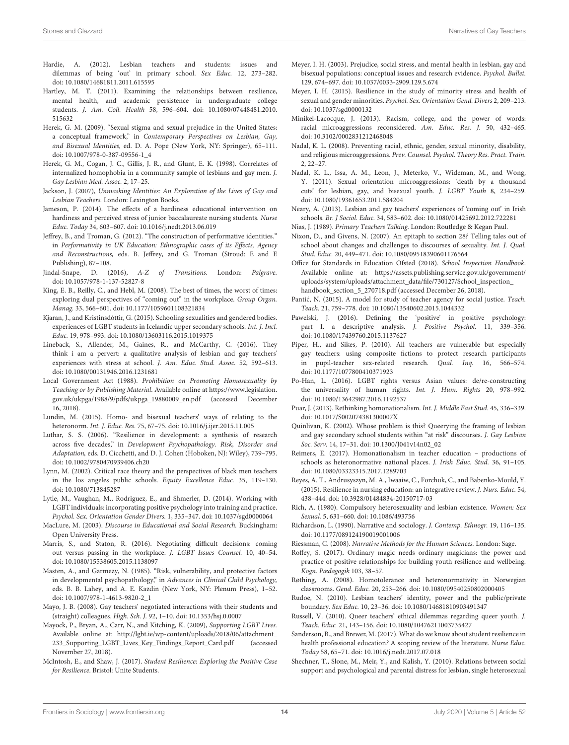- <span id="page-13-19"></span>Hardie, A. (2012). Lesbian teachers and students: issues and dilemmas of being 'out' in primary school. Sex Educ. 12, 273–282. doi: [10.1080/14681811.2011.615595](https://doi.org/10.1080/14681811.2011.615595)
- <span id="page-13-36"></span>Hartley, M. T. (2011). Examining the relationships between resilience, mental health, and academic persistence in undergraduate college students. J. Am. Coll. Health [58, 596–604. doi: 10.1080/07448481.2010.](https://doi.org/10.1080/07448481.2010.515632) 515632
- <span id="page-13-26"></span>Herek, G. M. (2009). "Sexual stigma and sexual prejudice in the United States: a conceptual framework," in Contemporary Perspectives on Lesbian, Gay, and Bisexual Identities, ed. D. A. Pope (New York, NY: Springer), 65–111. doi: [10.1007/978-0-387-09556-1\\_4](https://doi.org/10.1007/978-0-387-09556-1_4)
- <span id="page-13-25"></span>Herek, G. M., Cogan, J. C., Gillis, J. R., and Glunt, E. K. (1998). Correlates of internalized homophobia in a community sample of lesbians and gay men. J. Gay Lesbian Med. Assoc. 2, 17–25.
- <span id="page-13-21"></span>Jackson, J. (2007), Unmasking Identities: An Exploration of the Lives of Gay and Lesbian Teachers. London: Lexington Books.
- <span id="page-13-37"></span>Jameson, P. (2014). The effects of a hardiness educational intervention on hardiness and perceived stress of junior baccalaureate nursing students. Nurse Educ. Today 34, 603–607. doi: [10.1016/j.nedt.2013.06.019](https://doi.org/10.1016/j.nedt.2013.06.019)
- <span id="page-13-46"></span>Jeffrey, B., and Troman, G. (2012). "The construction of performative identities." in Performativity in UK Education: Ethnographic cases of its Effects, Agency and Reconstructions, eds. B. Jeffrey, and G. Troman (Stroud: E and E Publishing), 87–108.
- <span id="page-13-29"></span>Jindal-Snape, D. (2016), A-Z of Transitions. London: Palgrave. doi: [10.1057/978-1-137-52827-8](https://doi.org/10.1057/978-1-137-52827-8)
- <span id="page-13-18"></span>King, E. B., Reilly, C., and Hebl, M. (2008). The best of times, the worst of times: exploring dual perspectives of "coming out" in the workplace. Group Organ. Manag. 33, 566–601. doi: [10.1177/1059601108321834](https://doi.org/10.1177/1059601108321834)
- <span id="page-13-15"></span>Kjaran, J., and Kristinsdóttir, G. (2015). Schooling sexualities and gendered bodies. experiences of LGBT students in Icelandic upper secondary schools. Int. J. Incl. Educ. 19, 978–993. doi: [10.1080/13603116.2015.1019375](https://doi.org/10.1080/13603116.2015.1019375)
- <span id="page-13-16"></span>Lineback, S., Allender, M., Gaines, R., and McCarthy, C. (2016). They think i am a pervert: a qualitative analysis of lesbian and gay teachers' experiences with stress at school. J. Am. Educ. Stud. Assoc. 52, 592–613. doi: [10.1080/00131946.2016.1231681](https://doi.org/10.1080/00131946.2016.1231681)
- <span id="page-13-0"></span>Local Government Act (1988). Prohibition on Promoting Homosexuality by Teaching or by Publishing Material. Available online at [https://www.legislation.](https://www.legislation.gov.uk/ukpga/1988/9/pdfs/ukpga_19880009_en.pdf) [gov.uk/ukpga/1988/9/pdfs/ukpga\\_19880009\\_en.pdf](https://www.legislation.gov.uk/ukpga/1988/9/pdfs/ukpga_19880009_en.pdf) (accessed December 16, 2018).
- <span id="page-13-14"></span>Lundin, M. (2015). Homo- and bisexual teachers' ways of relating to the heteronorm. Int. J. Educ. Res. 75, 67–75. doi: [10.1016/j.ijer.2015.11.005](https://doi.org/10.1016/j.ijer.2015.11.005)
- <span id="page-13-31"></span>Luthar, S. S. (2006). "Resilience in development: a synthesis of research across five decades," in Development Psychopathology. Risk, Disorder and Adaptation, eds. D. Cicchetti, and D. J. Cohen (Hoboken, NJ: Wiley), 739–795. doi: [10.1002/9780470939406.ch20](https://doi.org/10.1002/9780470939406.ch20)
- <span id="page-13-8"></span>Lynn, M. (2002). Critical race theory and the perspectives of black men teachers in the los angeles public schools. Equity Excellence Educ. 35, 119–130. doi: [10.1080/713845287](https://doi.org/10.1080/713845287)
- <span id="page-13-41"></span>Lytle, M., Vaughan, M., Rodriguez, E., and Shmerler, D. (2014). Working with LGBT individuals: incorporating positive psychology into training and practice. Psychol. Sex. Orientation Gender Divers. 1, 335–347. doi: [10.1037/sgd0000064](https://doi.org/10.1037/sgd0000064)
- <span id="page-13-40"></span>MacLure, M. (2003). Discourse in Educational and Social Research. Buckingham: Open University Press.
- <span id="page-13-20"></span>Marris, S., and Staton, R. (2016). Negotiating difficult decisions: coming out versus passing in the workplace. J. LGBT Issues Counsel. 10, 40–54. doi: [10.1080/15538605.2015.1138097](https://doi.org/10.1080/15538605.2015.1138097)
- <span id="page-13-30"></span>Masten, A., and Garmezy, N. (1985). "Risk, vulnerability, and protective factors in developmental psychopathology," in Advances in Clinical Child Psychology, eds. B. B. Lahey, and A. E. Kazdin (New York, NY: Plenum Press), 1–52. doi: [10.1007/978-1-4613-9820-2\\_1](https://doi.org/10.1007/978-1-4613-9820-2_1)
- <span id="page-13-22"></span>Mayo, J. B. (2008). Gay teachers' negotiated interactions with their students and (straight) colleagues. High. Sch. J. 92, 1–10. doi: [10.1353/hsj.0.0007](https://doi.org/10.1353/hsj.0.0007)
- <span id="page-13-4"></span>Mayock, P., Bryan, A., Carr, N., and Kitching, K. (2009), Supporting LGBT Lives. Available online at: [http://lgbt.ie/wp-content/uploads/2018/06/attachment\\_](http://lgbt.ie/wp-content/uploads/2018/06/attachment_233_Supporting_LGBT_Lives_Key_Findings_Report_Card.pdf) [233\\_Supporting\\_LGBT\\_Lives\\_Key\\_Findings\\_Report\\_Card.pdf](http://lgbt.ie/wp-content/uploads/2018/06/attachment_233_Supporting_LGBT_Lives_Key_Findings_Report_Card.pdf) (accessed November 27, 2018).
- <span id="page-13-33"></span>McIntosh, E., and Shaw, J. (2017). Student Resilience: Exploring the Positive Case for Resilience. Bristol: Unite Students.
- <span id="page-13-24"></span>Meyer, I. H. (2003). Prejudice, social stress, and mental health in lesbian, gay and bisexual populations: conceptual issues and research evidence. Psychol. Bullet. 129, 674–697. doi: [10.1037/0033-2909.129.5.674](https://doi.org/10.1037/0033-2909.129.5.674)
- <span id="page-13-28"></span>Meyer, I. H. (2015). Resilience in the study of minority stress and health of sexual and gender minorities. Psychol. Sex. Orientation Gend. Divers 2, 209–213. doi: [10.1037/sgd0000132](https://doi.org/10.1037/sgd0000132)
- <span id="page-13-11"></span>Minikel-Lacocque, J. (2013). Racism, college, and the power of words: racial microaggressions reconsidered. Am. Educ. Res. J. 50, 432–465. doi: [10.3102/0002831212468048](https://doi.org/10.3102/0002831212468048)
- <span id="page-13-10"></span>Nadal, K. L. (2008). Preventing racial, ethnic, gender, sexual minority, disability, and religious microaggressions. Prev. Counsel. Psychol. Theory Res. Pract. Train. 2, 22–27.
- <span id="page-13-9"></span>Nadal, K. L., Issa, A. M., Leon, J., Meterko, V., Wideman, M., and Wong, Y. (2011). Sexual orientation microaggressions: 'death by a thousand cuts' for lesbian, gay, and bisexual youth. J. LGBT Youth 8, 234–259. doi: [10.1080/19361653.2011.584204](https://doi.org/10.1080/19361653.2011.584204)
- <span id="page-13-2"></span>Neary, A. (2013). Lesbian and gay teachers' experiences of 'coming out' in Irish schools. Br. J Sociol. Educ. 34, 583–602. doi: [10.1080/01425692.2012.722281](https://doi.org/10.1080/01425692.2012.722281)
- <span id="page-13-39"></span>Nias, J. (1989). Primary Teachers Talking. London: Routledge & Kegan Paul.
- <span id="page-13-1"></span>Nixon, D., and Givens, N. (2007). An epitaph to section 28? Telling tales out of school about changes and challenges to discourses of sexuality. Int. J. Qual. Stud. Educ. 20, 449–471. doi: [10.1080/09518390601176564](https://doi.org/10.1080/09518390601176564)
- <span id="page-13-47"></span>Office for Standards in Education Ofsted (2018). School Inspection Handbook. Available online at: [https://assets.publishing.service.gov.uk/government/](https://assets.publishing.service.gov.uk/government/uploads/system/uploads/attachment_data/file/730127/School_inspection_handbook_section_5_270718.pdf) [uploads/system/uploads/attachment\\_data/file/730127/School\\_inspection\\_](https://assets.publishing.service.gov.uk/government/uploads/system/uploads/attachment_data/file/730127/School_inspection_handbook_section_5_270718.pdf) [handbook\\_section\\_5\\_270718.pdf](https://assets.publishing.service.gov.uk/government/uploads/system/uploads/attachment_data/file/730127/School_inspection_handbook_section_5_270718.pdf) (accessed December 26, 2018).
- <span id="page-13-38"></span>Pantić, N. (2015). A model for study of teacher agency for social justice. Teach. Teach. 21, 759–778. doi: [10.1080/13540602.2015.1044332](https://doi.org/10.1080/13540602.2015.1044332)
- <span id="page-13-42"></span>Pawelski, J. (2016). Defining the 'positive' in positive psychology: part I. a descriptive analysis. J. Positive Psychol. 11, 339-356. doi: [10.1080/17439760.2015.1137627](https://doi.org/10.1080/17439760.2015.1137627)
- <span id="page-13-12"></span>Piper, H., and Sikes, P. (2010). All teachers are vulnerable but especially gay teachers: using composite fictions to protect research participants in pupil-teacher sex-related research. Qual. Inq. 16, 566–574. doi: [10.1177/1077800410371923](https://doi.org/10.1177/1077800410371923)
- <span id="page-13-17"></span>Po-Han, L. (2016). LGBT rights versus Asian values: de/re-constructing the universality of human rights. Int. J. Hum. Rights 20, 978–992. doi: [10.1080/13642987.2016.1192537](https://doi.org/10.1080/13642987.2016.1192537)
- <span id="page-13-23"></span>Puar, J. (2013). Rethinking homonationalism. Int. J. Middle East Stud. 45, 336–339. doi: [10.1017/S002074381300007X](https://doi.org/10.1017/S002074381300007X)
- <span id="page-13-3"></span>Quinlivan, K. (2002). Whose problem is this? Queerying the framing of lesbian and gay secondary school students within "at risk" discourses. J. Gay Lesbian Soc. Serv. 14, 17–31. doi: [10.1300/J041v14n02\\_02](https://doi.org/10.1300/J041v14n02_02)
- <span id="page-13-6"></span>Reimers, E. (2017). Homonationalism in teacher education – productions of schools as heteronormative national places. J. Irish Educ. Stud. 36, 91–105. doi: [10.1080/03323315.2017.1289703](https://doi.org/10.1080/03323315.2017.1289703)
- <span id="page-13-35"></span>Reyes, A. T., Andrusyszyn, M. A., Iwaaiw, C., Forchuk, C., and Babenko-Mould, Y. (2015). Resilience in nursing education: an integrative review. J. Nurs. Educ. 54, 438–444. doi: [10.3928/01484834-20150717-03](https://doi.org/10.3928/01484834-20150717-03)
- <span id="page-13-45"></span>Rich, A. (1980). Compulsory heterosexuality and lesbian existence. Women: Sex Sexual. 5, 631–660. doi: [10.1086/493756](https://doi.org/10.1086/493756)
- <span id="page-13-44"></span>Richardson, L. (1990). Narrative and sociology. J. Contemp. Ethnogr. 19, 116–135. doi: [10.1177/089124190019001006](https://doi.org/10.1177/089124190019001006)
- <span id="page-13-43"></span>Riessman, C. (2008). Narrative Methods for the Human Sciences. London: Sage.
- <span id="page-13-32"></span>Roffey, S. (2017). Ordinary magic needs ordinary magicians: the power and practice of positive relationships for building youth resilience and wellbeing. Kogn. Pædagogik 103, 38–57.
- <span id="page-13-7"></span>Røthing, A. (2008). Homotolerance and heteronormativity in Norwegian classrooms. Gend. Educ. 20, 253–266. doi: [10.1080/09540250802000405](https://doi.org/10.1080/09540250802000405)
- <span id="page-13-13"></span>Rudoe, N. (2010). Lesbian teachers' identity, power and the public/private boundary. Sex Educ. 10, 23–36. doi: [10.1080/14681810903491347](https://doi.org/10.1080/14681810903491347)
- <span id="page-13-5"></span>Russell, V. (2010). Queer teachers' ethical dilemmas regarding queer youth. J. Teach. Educ. 21, 143–156. doi: [10.1080/10476211003735427](https://doi.org/10.1080/10476211003735427)
- <span id="page-13-34"></span>Sanderson, B., and Brewer, M. (2017). What do we know about student resilience in health professional education? A scoping review of the literature. Nurse Educ. Today 58, 65–71. doi: [10.1016/j.nedt.2017.07.018](https://doi.org/10.1016/j.nedt.2017.07.018)
- <span id="page-13-27"></span>Shechner, T., Slone, M., Meir, Y., and Kalish, Y. (2010). Relations between social support and psychological and parental distress for lesbian, single heterosexual